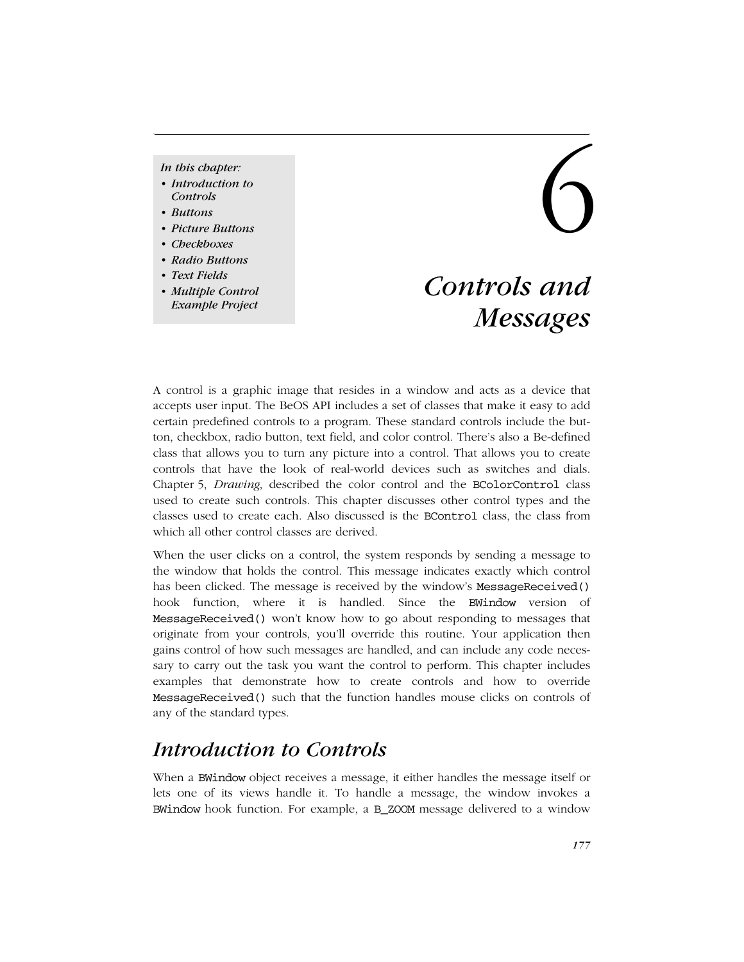### *In this chapter:*

- *Introduction to Controls*
- *Buttons*
- *Picture Buttons*
- *Checkboxes*
- *Radio Buttons*
- *Text Fields*
- *Multiple Control Example Project*

# 6

# *6.Controls and Messages*

A control is a graphic image that resides in a window and acts as a device that accepts user input. The BeOS API includes a set of classes that make it easy to add certain predefined controls to a program. These standard controls include the button, checkbox, radio button, text field, and color control. There's also a Be-defined class that allows you to turn any picture into a control. That allows you to create controls that have the look of real-world devices such as switches and dials. Chapter 5, *Drawing*, described the color control and the BColorControl class used to create such controls. This chapter discusses other control types and the classes used to create each. Also discussed is the BControl class, the class from which all other control classes are derived.

When the user clicks on a control, the system responds by sending a message to the window that holds the control. This message indicates exactly which control has been clicked. The message is received by the window's MessageReceived() hook function, where it is handled. Since the BWindow version of MessageReceived() won't know how to go about responding to messages that originate from your controls, you'll override this routine. Your application then gains control of how such messages are handled, and can include any code necessary to carry out the task you want the control to perform. This chapter includes examples that demonstrate how to create controls and how to override MessageReceived() such that the function handles mouse clicks on controls of any of the standard types.

# *Introduction to Controls*

When a BWindow object receives a message, it either handles the message itself or lets one of its views handle it. To handle a message, the window invokes a BWindow hook function. For example, a B\_ZOOM message delivered to a window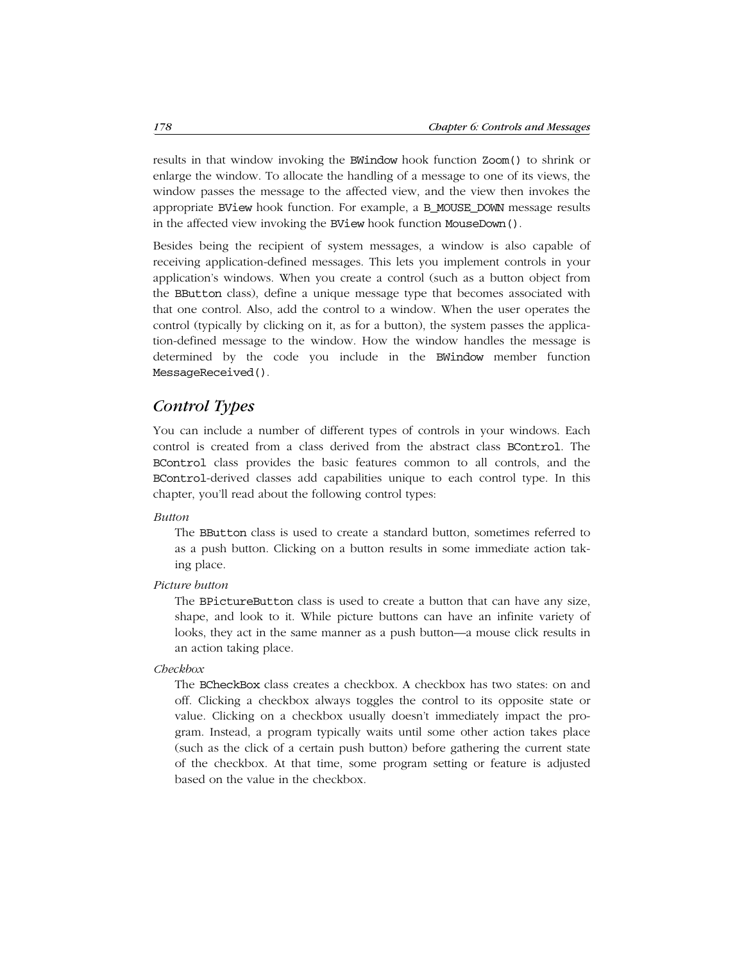results in that window invoking the BWindow hook function Zoom() to shrink or enlarge the window. To allocate the handling of a message to one of its views, the window passes the message to the affected view, and the view then invokes the appropriate BView hook function. For example, a B\_MOUSE\_DOWN message results in the affected view invoking the BView hook function MouseDown().

Besides being the recipient of system messages, a window is also capable of receiving application-defined messages. This lets you implement controls in your application's windows. When you create a control (such as a button object from the BButton class), define a unique message type that becomes associated with that one control. Also, add the control to a window. When the user operates the control (typically by clicking on it, as for a button), the system passes the application-defined message to the window. How the window handles the message is determined by the code you include in the BWindow member function MessageReceived().

# *Control Types*

You can include a number of different types of controls in your windows. Each control is created from a class derived from the abstract class BControl. The BControl class provides the basic features common to all controls, and the BControl-derived classes add capabilities unique to each control type. In this chapter, you'll read about the following control types:

### *Button*

The BButton class is used to create a standard button, sometimes referred to as a push button. Clicking on a button results in some immediate action taking place.

### *Picture button*

The BPictureButton class is used to create a button that can have any size, shape, and look to it. While picture buttons can have an infinite variety of looks, they act in the same manner as a push button—a mouse click results in an action taking place.

### *Checkbox*

The BCheckBox class creates a checkbox. A checkbox has two states: on and off. Clicking a checkbox always toggles the control to its opposite state or value. Clicking on a checkbox usually doesn't immediately impact the program. Instead, a program typically waits until some other action takes place (such as the click of a certain push button) before gathering the current state of the checkbox. At that time, some program setting or feature is adjusted based on the value in the checkbox.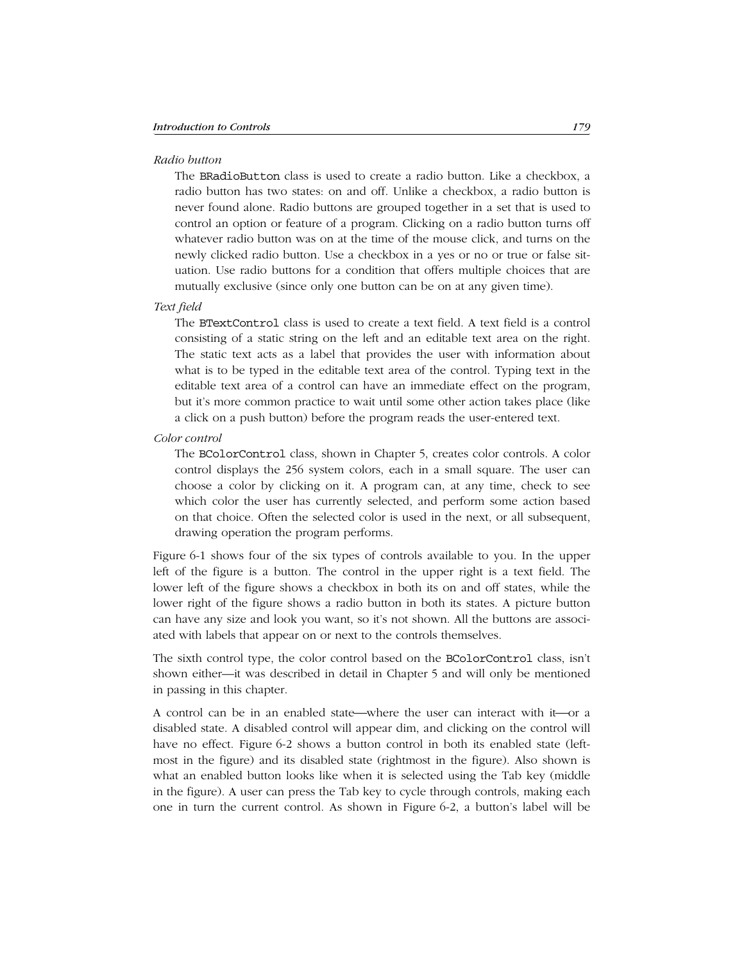### *Radio button*

The BRadioButton class is used to create a radio button. Like a checkbox, a radio button has two states: on and off. Unlike a checkbox, a radio button is never found alone. Radio buttons are grouped together in a set that is used to control an option or feature of a program. Clicking on a radio button turns off whatever radio button was on at the time of the mouse click, and turns on the newly clicked radio button. Use a checkbox in a yes or no or true or false situation. Use radio buttons for a condition that offers multiple choices that are mutually exclusive (since only one button can be on at any given time).

### *Text field*

The BTextControl class is used to create a text field. A text field is a control consisting of a static string on the left and an editable text area on the right. The static text acts as a label that provides the user with information about what is to be typed in the editable text area of the control. Typing text in the editable text area of a control can have an immediate effect on the program, but it's more common practice to wait until some other action takes place (like a click on a push button) before the program reads the user-entered text.

*Color control*

The BColorControl class, shown in Chapter 5, creates color controls. A color control displays the 256 system colors, each in a small square. The user can choose a color by clicking on it. A program can, at any time, check to see which color the user has currently selected, and perform some action based on that choice. Often the selected color is used in the next, or all subsequent, drawing operation the program performs.

Figure 6-1 shows four of the six types of controls available to you. In the upper left of the figure is a button. The control in the upper right is a text field. The lower left of the figure shows a checkbox in both its on and off states, while the lower right of the figure shows a radio button in both its states. A picture button can have any size and look you want, so it's not shown. All the buttons are associated with labels that appear on or next to the controls themselves.

The sixth control type, the color control based on the BColorControl class, isn't shown either—it was described in detail in Chapter 5 and will only be mentioned in passing in this chapter.

A control can be in an enabled state—where the user can interact with it—or a disabled state. A disabled control will appear dim, and clicking on the control will have no effect. Figure 6-2 shows a button control in both its enabled state (leftmost in the figure) and its disabled state (rightmost in the figure). Also shown is what an enabled button looks like when it is selected using the Tab key (middle in the figure). A user can press the Tab key to cycle through controls, making each one in turn the current control. As shown in Figure 6-2, a button's label will be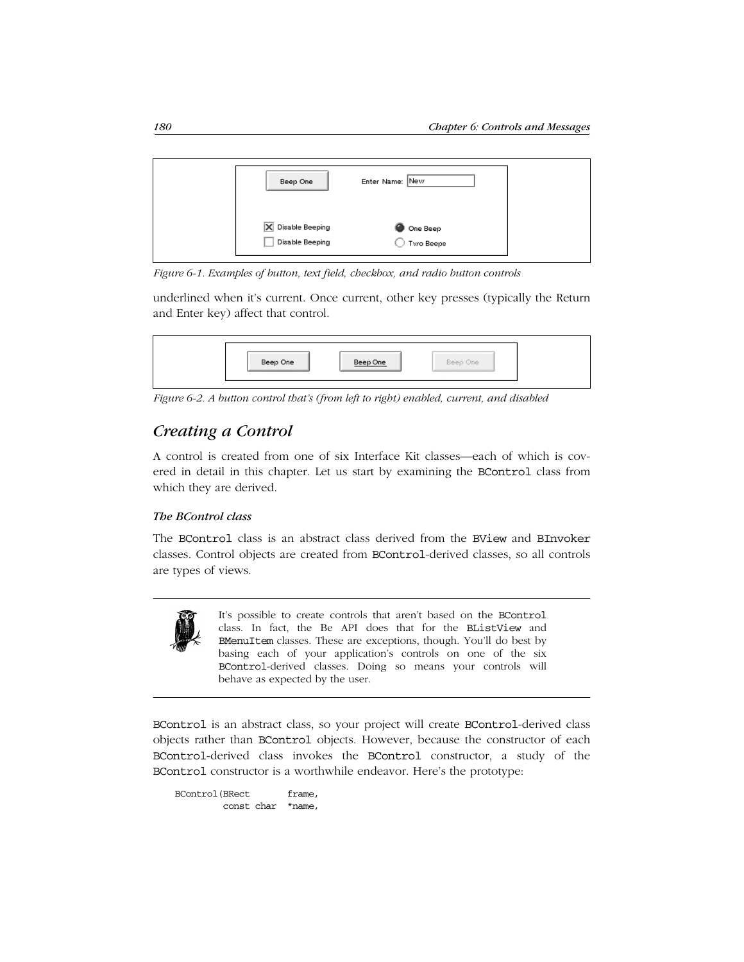| Beep One                                                   | Enter Name: New |                           |  |
|------------------------------------------------------------|-----------------|---------------------------|--|
| $\boxed{\times}$ Disable Beeping<br><b>Disable Beeping</b> |                 | ● One Beep<br>◯ Two Beeps |  |

*Figure 6-1. Examples of button, text field, checkbox, and radio button controls*

underlined when it's current. Once current, other key presses (typically the Return and Enter key) affect that control.

|  |  | Beep One | Beep One | Beep One |  |
|--|--|----------|----------|----------|--|
|--|--|----------|----------|----------|--|

*Figure 6-2. A button control that's (from left to right) enabled, current, and disabled*

### *Creating a Control*

A control is created from one of six Interface Kit classes—each of which is covered in detail in this chapter. Let us start by examining the BControl class from which they are derived.

### *The BControl class*

The BControl class is an abstract class derived from the BView and BInvoker classes. Control objects are created from BControl-derived classes, so all controls are types of views.



It's possible to create controls that aren't based on the BControl class. In fact, the Be API does that for the BListView and BMenuItem classes. These are exceptions, though. You'll do best by basing each of your application's controls on one of the six BControl-derived classes. Doing so means your controls will behave as expected by the user.

BControl is an abstract class, so your project will create BControl-derived class objects rather than BControl objects. However, because the constructor of each BControl-derived class invokes the BControl constructor, a study of the BControl constructor is a worthwhile endeavor. Here's the prototype:

| <b>BControl</b> (BRect | frame, |
|------------------------|--------|
| const char             | *name, |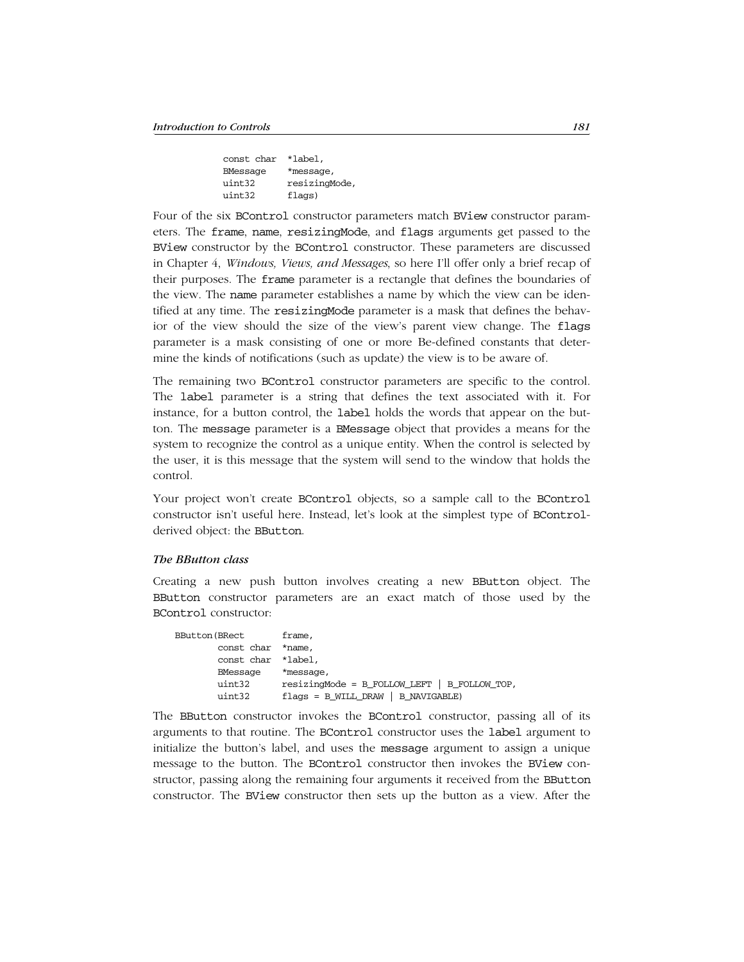const char \*label, BMessage \*message, uint32 resizingMode, uint32 flags)

Four of the six BControl constructor parameters match BView constructor parameters. The frame, name, resizingMode, and flags arguments get passed to the BView constructor by the BControl constructor. These parameters are discussed in Chapter 4, *Windows, Views, and Messages*, so here I'll offer only a brief recap of their purposes. The frame parameter is a rectangle that defines the boundaries of the view. The name parameter establishes a name by which the view can be identified at any time. The resizingMode parameter is a mask that defines the behavior of the view should the size of the view's parent view change. The flags parameter is a mask consisting of one or more Be-defined constants that determine the kinds of notifications (such as update) the view is to be aware of.

The remaining two BControl constructor parameters are specific to the control. The label parameter is a string that defines the text associated with it. For instance, for a button control, the label holds the words that appear on the button. The message parameter is a BMessage object that provides a means for the system to recognize the control as a unique entity. When the control is selected by the user, it is this message that the system will send to the window that holds the control.

Your project won't create BControl objects, so a sample call to the BControl constructor isn't useful here. Instead, let's look at the simplest type of BControlderived object: the BButton.

### *The BButton class*

Creating a new push button involves creating a new BButton object. The BButton constructor parameters are an exact match of those used by the BControl constructor:

| BButton (BRect     | frame,                                           |
|--------------------|--------------------------------------------------|
| const char *name,  |                                                  |
| const char *label, |                                                  |
| BMessage           | *message,                                        |
| uint32             | $resizingMode = B$ FOLLOW LEFT $  B$ FOLLOW TOP, |
| uint32             | $flags = B_WILL_DRAW   B_NAVIGABLE)$             |

The BButton constructor invokes the BControl constructor, passing all of its arguments to that routine. The BControl constructor uses the label argument to initialize the button's label, and uses the message argument to assign a unique message to the button. The BControl constructor then invokes the BView constructor, passing along the remaining four arguments it received from the BButton constructor. The BView constructor then sets up the button as a view. After the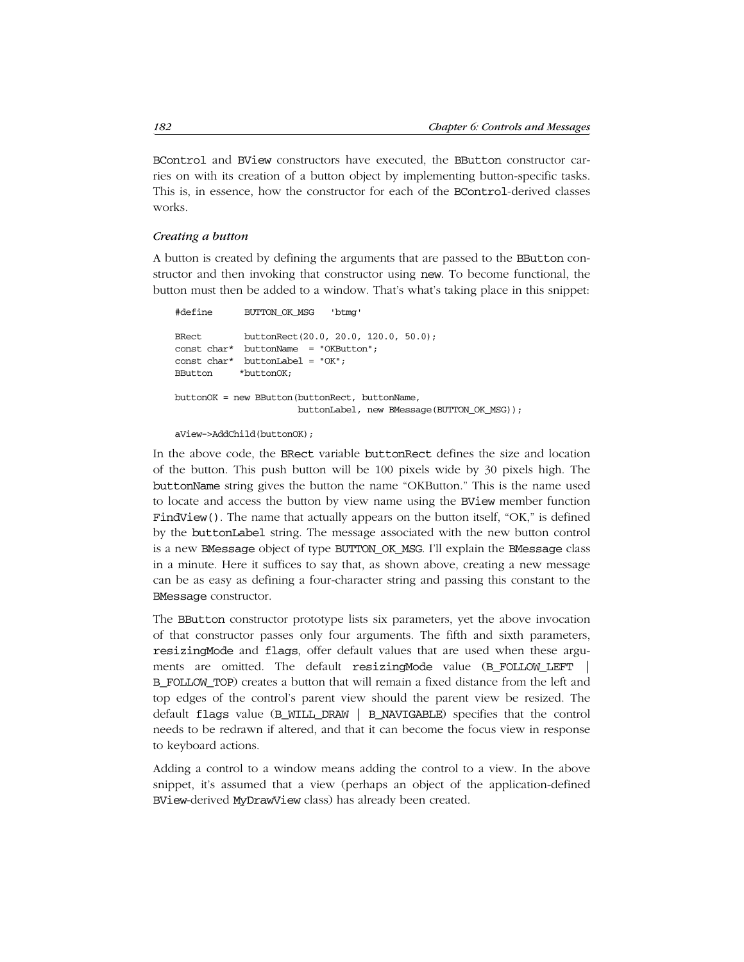BControl and BView constructors have executed, the BButton constructor carries on with its creation of a button object by implementing button-specific tasks. This is, in essence, how the constructor for each of the BControl-derived classes works.

### *Creating a button*

A button is created by defining the arguments that are passed to the BButton constructor and then invoking that constructor using new. To become functional, the button must then be added to a window. That's what's taking place in this snippet:

```
#define BUTTON_OK_MSG 'btmg'
BRect buttonRect(20.0, 20.0, 120.0, 50.0);
const char* buttonName = "OKButton";
const char* buttonLabel = "OK";
BButton *buttonOK;
buttonOK = new BButton(buttonRect, buttonName,
                      buttonLabel, new BMessage(BUTTON_OK_MSG));
```

```
aView->AddChild(buttonOK);
```
In the above code, the BRect variable buttonRect defines the size and location of the button. This push button will be 100 pixels wide by 30 pixels high. The buttonName string gives the button the name "OKButton." This is the name used to locate and access the button by view name using the BView member function FindView(). The name that actually appears on the button itself, "OK," is defined by the buttonLabel string. The message associated with the new button control is a new BMessage object of type BUTTON\_OK\_MSG. I'll explain the BMessage class in a minute. Here it suffices to say that, as shown above, creating a new message can be as easy as defining a four-character string and passing this constant to the BMessage constructor.

The BButton constructor prototype lists six parameters, yet the above invocation of that constructor passes only four arguments. The fifth and sixth parameters, resizingMode and flags, offer default values that are used when these arguments are omitted. The default resizingMode value (B\_FOLLOW\_LEFT | B\_FOLLOW\_TOP) creates a button that will remain a fixed distance from the left and top edges of the control's parent view should the parent view be resized. The default flags value (B\_WILL\_DRAW | B\_NAVIGABLE) specifies that the control needs to be redrawn if altered, and that it can become the focus view in response to keyboard actions.

Adding a control to a window means adding the control to a view. In the above snippet, it's assumed that a view (perhaps an object of the application-defined BView-derived MyDrawView class) has already been created.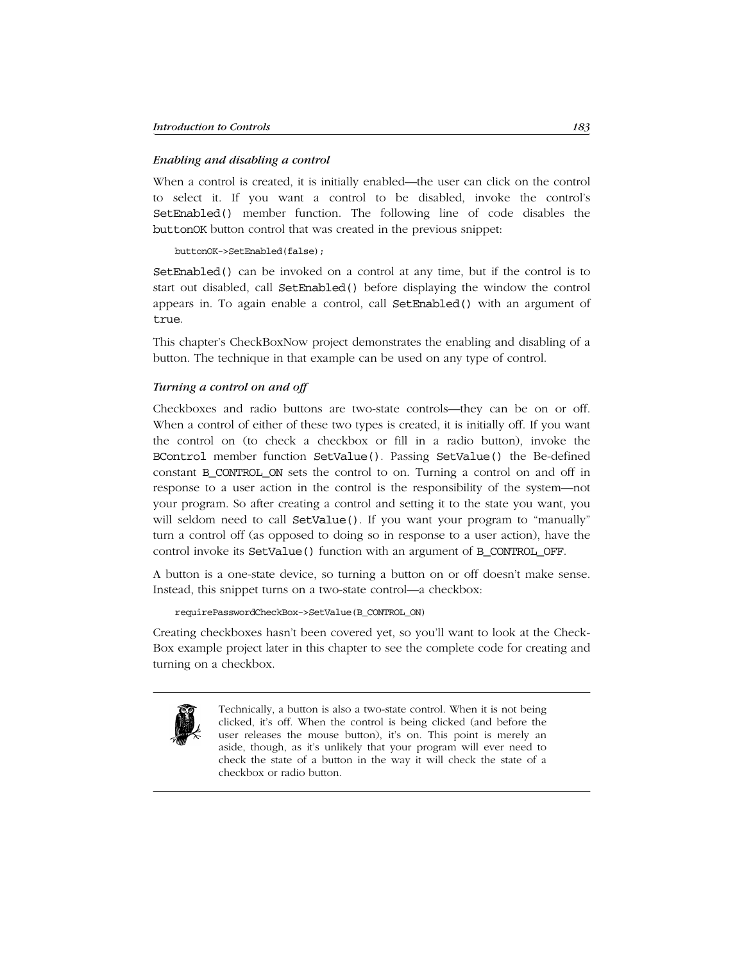### *Enabling and disabling a control*

When a control is created, it is initially enabled—the user can click on the control to select it. If you want a control to be disabled, invoke the control's SetEnabled() member function. The following line of code disables the buttonOK button control that was created in the previous snippet:

buttonOK->SetEnabled(false);

SetEnabled() can be invoked on a control at any time, but if the control is to start out disabled, call SetEnabled() before displaying the window the control appears in. To again enable a control, call SetEnabled() with an argument of true.

This chapter's CheckBoxNow project demonstrates the enabling and disabling of a button. The technique in that example can be used on any type of control.

### *Turning a control on and off*

Checkboxes and radio buttons are two-state controls—they can be on or off. When a control of either of these two types is created, it is initially off. If you want the control on (to check a checkbox or fill in a radio button), invoke the BControl member function SetValue(). Passing SetValue() the Be-defined constant B\_CONTROL\_ON sets the control to on. Turning a control on and off in response to a user action in the control is the responsibility of the system—not your program. So after creating a control and setting it to the state you want, you will seldom need to call SetValue(). If you want your program to "manually" turn a control off (as opposed to doing so in response to a user action), have the control invoke its SetValue() function with an argument of B\_CONTROL\_OFF.

A button is a one-state device, so turning a button on or off doesn't make sense. Instead, this snippet turns on a two-state control—a checkbox:

```
requirePasswordCheckBox->SetValue(B_CONTROL_ON)
```
Creating checkboxes hasn't been covered yet, so you'll want to look at the Check-Box example project later in this chapter to see the complete code for creating and turning on a checkbox.



Technically, a button is also a two-state control. When it is not being clicked, it's off. When the control is being clicked (and before the user releases the mouse button), it's on. This point is merely an aside, though, as it's unlikely that your program will ever need to check the state of a button in the way it will check the state of a checkbox or radio button.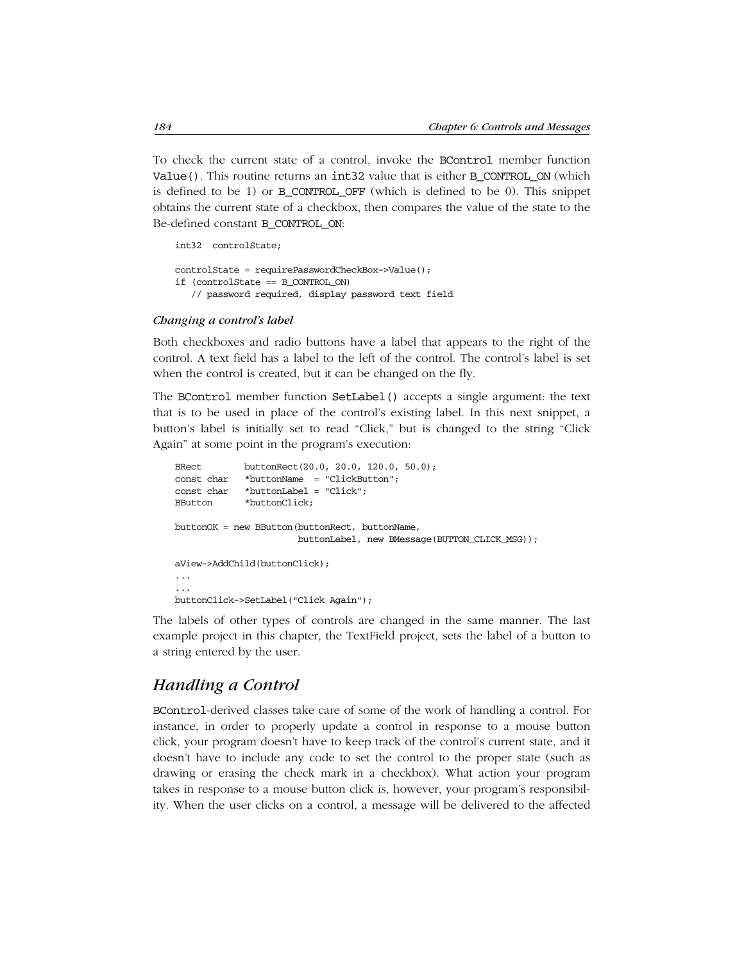To check the current state of a control, invoke the BControl member function Value(). This routine returns an int32 value that is either B\_CONTROL\_ON (which is defined to be 1) or B\_CONTROL\_OFF (which is defined to be 0). This snippet obtains the current state of a checkbox, then compares the value of the state to the Be-defined constant B\_CONTROL\_ON:

```
int32 controlState;
controlState = requirePasswordCheckBox->Value();
if (controlState == B_CONTROL_ON)
    // password required, display password text field
```
### *Changing a control's label*

Both checkboxes and radio buttons have a label that appears to the right of the control. A text field has a label to the left of the control. The control's label is set when the control is created, but it can be changed on the fly.

The BControl member function SetLabel() accepts a single argument: the text that is to be used in place of the control's existing label. In this next snippet, a button's label is initially set to read "Click," but is changed to the string "Click Again" at some point in the program's execution:

```
BRect buttonRect(20.0, 20.0, 120.0, 50.0);
const char *buttonName = "ClickButton";
const char *buttonLabel = "Click";
BButton *buttonClick;
buttonOK = new BButton(buttonRect, buttonName,
                       buttonLabel, new BMessage(BUTTON_CLICK_MSG));
aView->AddChild(buttonClick);
...
...
buttonClick->SetLabel("Click Again");
```
The labels of other types of controls are changed in the same manner. The last example project in this chapter, the TextField project, sets the label of a button to a string entered by the user.

### *Handling a Control*

BControl-derived classes take care of some of the work of handling a control. For instance, in order to properly update a control in response to a mouse button click, your program doesn't have to keep track of the control's current state, and it doesn't have to include any code to set the control to the proper state (such as drawing or erasing the check mark in a checkbox). What action your program takes in response to a mouse button click is, however, your program's responsibility. When the user clicks on a control, a message will be delivered to the affected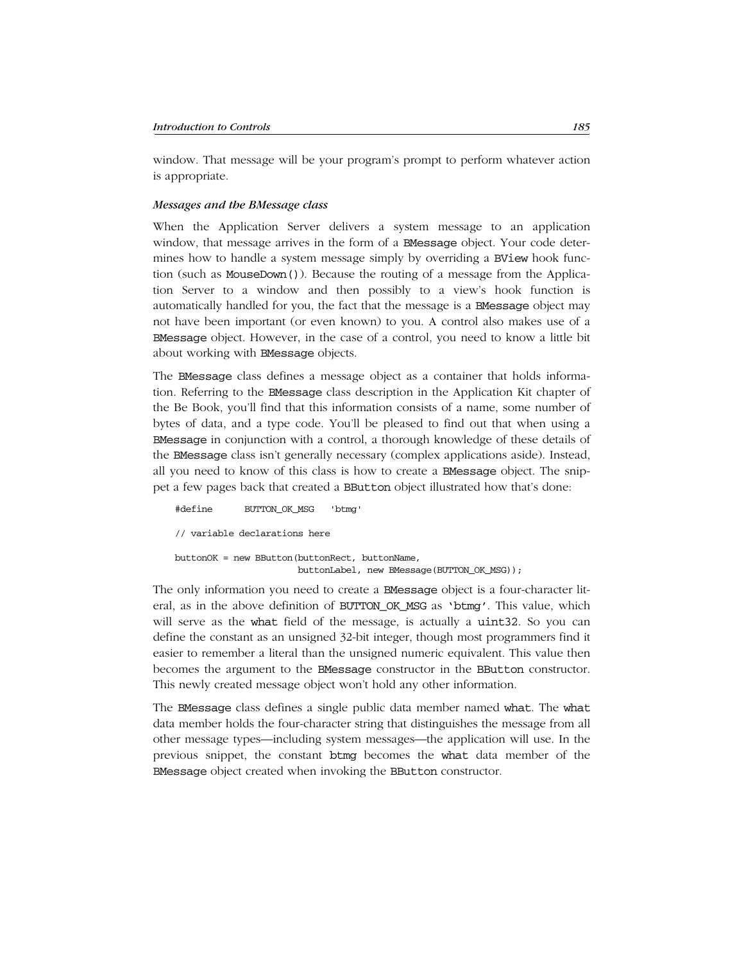window. That message will be your program's prompt to perform whatever action is appropriate.

### *Messages and the BMessage class*

When the Application Server delivers a system message to an application window, that message arrives in the form of a BMessage object. Your code determines how to handle a system message simply by overriding a BView hook function (such as MouseDown()). Because the routing of a message from the Application Server to a window and then possibly to a view's hook function is automatically handled for you, the fact that the message is a BMessage object may not have been important (or even known) to you. A control also makes use of a BMessage object. However, in the case of a control, you need to know a little bit about working with BMessage objects.

The BMessage class defines a message object as a container that holds information. Referring to the BMessage class description in the Application Kit chapter of the Be Book, you'll find that this information consists of a name, some number of bytes of data, and a type code. You'll be pleased to find out that when using a BMessage in conjunction with a control, a thorough knowledge of these details of the BMessage class isn't generally necessary (complex applications aside). Instead, all you need to know of this class is how to create a BMessage object. The snippet a few pages back that created a BButton object illustrated how that's done:

#define BUTTON\_OK\_MSG 'btmg' // variable declarations here buttonOK = new BButton(buttonRect, buttonName, buttonLabel, new BMessage(BUTTON\_OK\_MSG));

The only information you need to create a BMessage object is a four-character literal, as in the above definition of BUTTON OK MSG as 'btmg'. This value, which will serve as the what field of the message, is actually a uint32. So you can define the constant as an unsigned 32-bit integer, though most programmers find it easier to remember a literal than the unsigned numeric equivalent. This value then becomes the argument to the BMessage constructor in the BButton constructor. This newly created message object won't hold any other information.

The BMessage class defines a single public data member named what. The what data member holds the four-character string that distinguishes the message from all other message types—including system messages—the application will use. In the previous snippet, the constant btmg becomes the what data member of the BMessage object created when invoking the BButton constructor.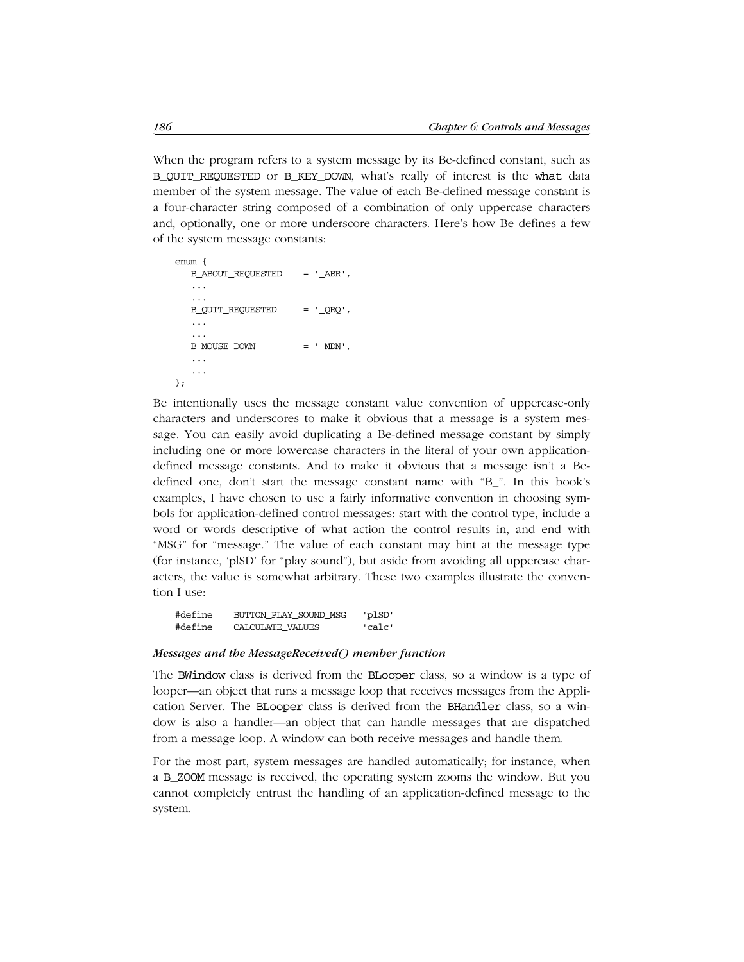When the program refers to a system message by its Be-defined constant, such as B\_QUIT\_REQUESTED or B\_KEY\_DOWN, what's really of interest is the what data member of the system message. The value of each Be-defined message constant is a four-character string composed of a combination of only uppercase characters and, optionally, one or more underscore characters. Here's how Be defines a few of the system message constants:

```
enum {
  B ABOUT REQUESTED = ' ABR',
   ...
 ...
  B_QUIT_REQUESTED = ' ORO'.
   ...
   ...
  B_MOUSE_DOWN = '_MDN',
   ...
 ...
};
```
Be intentionally uses the message constant value convention of uppercase-only characters and underscores to make it obvious that a message is a system message. You can easily avoid duplicating a Be-defined message constant by simply including one or more lowercase characters in the literal of your own applicationdefined message constants. And to make it obvious that a message isn't a Bedefined one, don't start the message constant name with "B\_". In this book's examples, I have chosen to use a fairly informative convention in choosing symbols for application-defined control messages: start with the control type, include a word or words descriptive of what action the control results in, and end with "MSG" for "message." The value of each constant may hint at the message type (for instance, 'plSD' for "play sound"), but aside from avoiding all uppercase characters, the value is somewhat arbitrary. These two examples illustrate the convention I use:

```
#define BUTTON_PLAY_SOUND_MSG 'plSD'
#define CALCULATE_VALUES 'calc'
```
### *Messages and the MessageReceived() member function*

The BWindow class is derived from the BLooper class, so a window is a type of looper—an object that runs a message loop that receives messages from the Application Server. The BLooper class is derived from the BHandler class, so a window is also a handler—an object that can handle messages that are dispatched from a message loop. A window can both receive messages and handle them.

For the most part, system messages are handled automatically; for instance, when a B\_ZOOM message is received, the operating system zooms the window. But you cannot completely entrust the handling of an application-defined message to the system.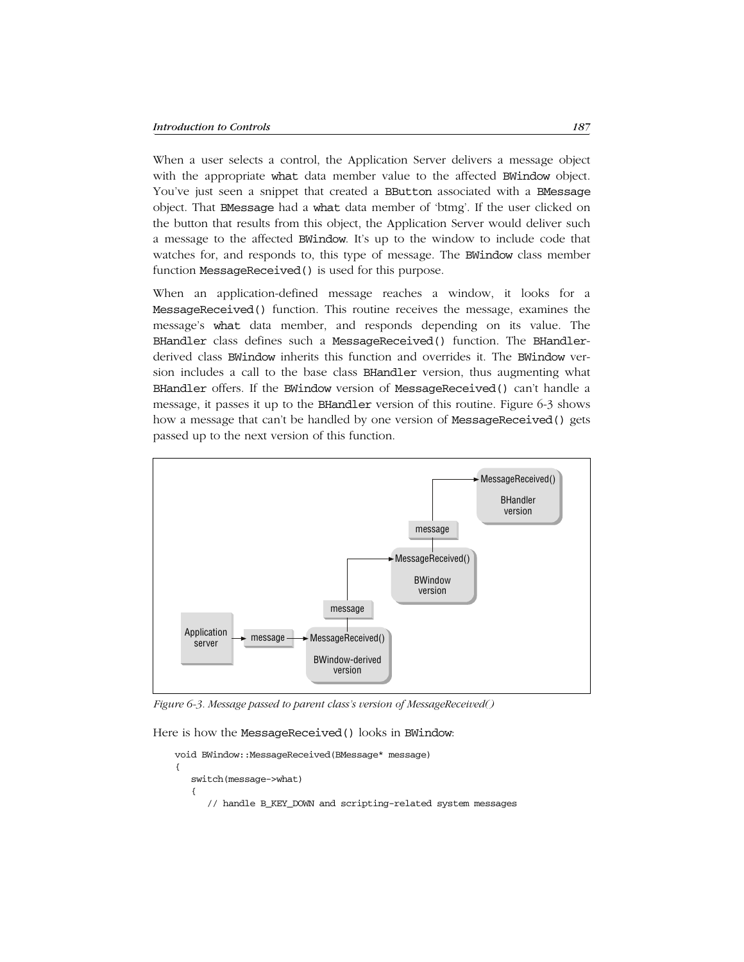When a user selects a control, the Application Server delivers a message object with the appropriate what data member value to the affected BWindow object. You've just seen a snippet that created a BButton associated with a BMessage object. That BMessage had a what data member of 'btmg'. If the user clicked on the button that results from this object, the Application Server would deliver such a message to the affected BWindow. It's up to the window to include code that watches for, and responds to, this type of message. The BWindow class member function MessageReceived() is used for this purpose.

When an application-defined message reaches a window, it looks for a MessageReceived() function. This routine receives the message, examines the message's what data member, and responds depending on its value. The BHandler class defines such a MessageReceived() function. The BHandlerderived class BWindow inherits this function and overrides it. The BWindow version includes a call to the base class BHandler version, thus augmenting what BHandler offers. If the BWindow version of MessageReceived() can't handle a message, it passes it up to the BHandler version of this routine. Figure 6-3 shows how a message that can't be handled by one version of MessageReceived() gets passed up to the next version of this function.



*Figure 6-3. Message passed to parent class's version of MessageReceived()*

Here is how the MessageReceived() looks in BWindow:

```
void BWindow::MessageReceived(BMessage* message)
{
    switch(message->what)
\{ // handle B_KEY_DOWN and scripting-related system messages
```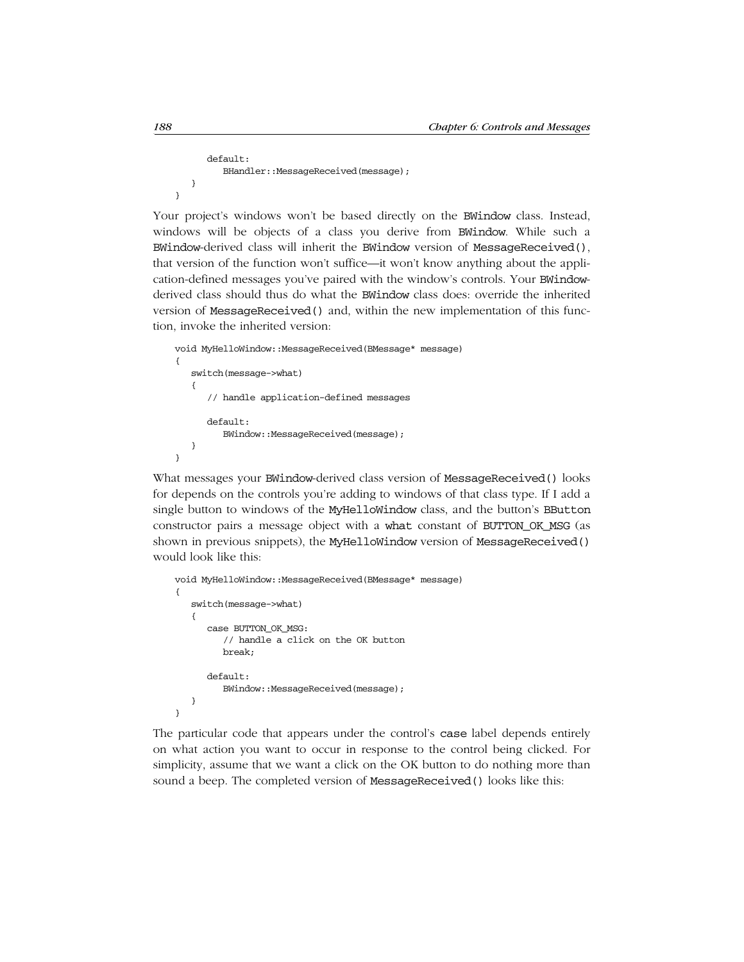```
 default:
           BHandler::MessageReceived(message);
    }
}
```
Your project's windows won't be based directly on the BWindow class. Instead, windows will be objects of a class you derive from BWindow. While such a BWindow-derived class will inherit the BWindow version of MessageReceived(), that version of the function won't suffice—it won't know anything about the application-defined messages you've paired with the window's controls. Your BWindowderived class should thus do what the BWindow class does: override the inherited version of MessageReceived() and, within the new implementation of this function, invoke the inherited version:

```
void MyHelloWindow::MessageReceived(BMessage* message)
{
    switch(message->what)
    {
       // handle application-defined messages
       default:
          BWindow::MessageReceived(message);
    }
}
```
What messages your BWindow-derived class version of MessageReceived() looks for depends on the controls you're adding to windows of that class type. If I add a single button to windows of the MyHelloWindow class, and the button's BButton constructor pairs a message object with a what constant of BUTTON\_OK\_MSG (as shown in previous snippets), the MyHelloWindow version of MessageReceived() would look like this:

```
void MyHelloWindow::MessageReceived(BMessage* message)
{
    switch(message->what)
    {
       case BUTTON_OK_MSG:
          // handle a click on the OK button
          break;
       default:
          BWindow::MessageReceived(message);
    }
}
```
The particular code that appears under the control's case label depends entirely on what action you want to occur in response to the control being clicked. For simplicity, assume that we want a click on the OK button to do nothing more than sound a beep. The completed version of MessageReceived() looks like this: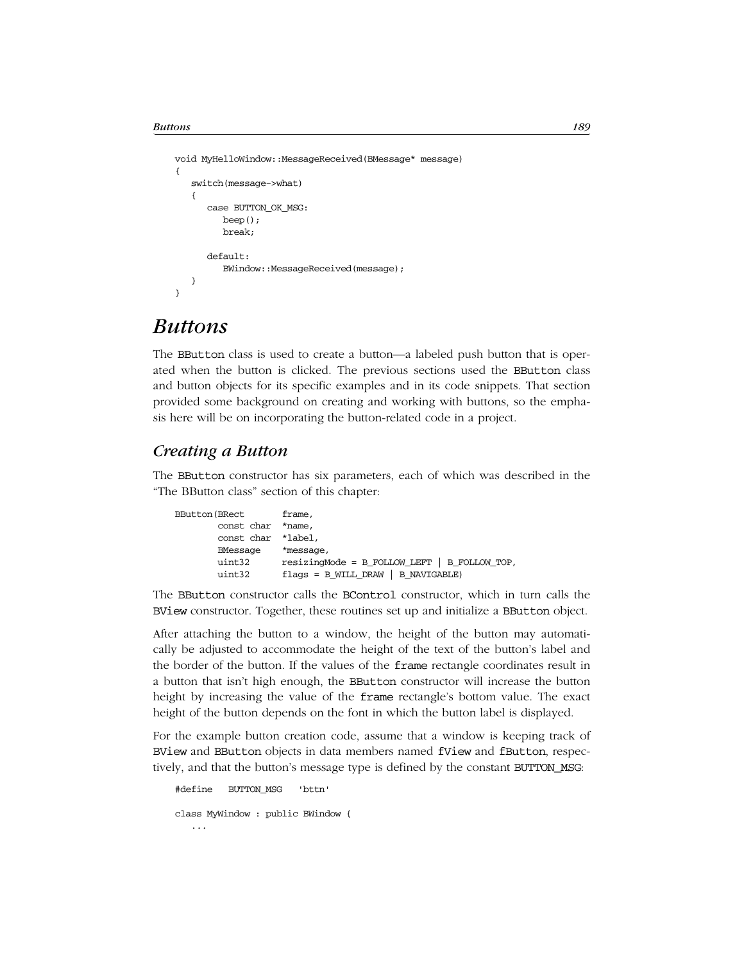```
void MyHelloWindow::MessageReceived(BMessage* message)
{
    switch(message->what)
    {
       case BUTTON_OK_MSG:
          beep();
          break;
       default:
          BWindow::MessageReceived(message);
    }
}
```
# *Buttons*

The BButton class is used to create a button—a labeled push button that is operated when the button is clicked. The previous sections used the BButton class and button objects for its specific examples and in its code snippets. That section provided some background on creating and working with buttons, so the emphasis here will be on incorporating the button-related code in a project.

### *Creating a Button*

The BButton constructor has six parameters, each of which was described in the "The BButton class" section of this chapter:

```
BButton(BRect frame,
        const char *name,
        const char *label,
        BMessage *message,
       uint32 resizingMode = B_FOLLOW_LEFT | B_FOLLOW_TOP,
        uint32 flags = B_WILL_DRAW | B_NAVIGABLE)
```
The BButton constructor calls the BControl constructor, which in turn calls the BView constructor. Together, these routines set up and initialize a BButton object.

After attaching the button to a window, the height of the button may automatically be adjusted to accommodate the height of the text of the button's label and the border of the button. If the values of the frame rectangle coordinates result in a button that isn't high enough, the BButton constructor will increase the button height by increasing the value of the frame rectangle's bottom value. The exact height of the button depends on the font in which the button label is displayed.

For the example button creation code, assume that a window is keeping track of BView and BButton objects in data members named fView and fButton, respectively, and that the button's message type is defined by the constant BUTTON\_MSG:

```
#define BUTTON_MSG 'bttn'
class MyWindow : public BWindow {
 ...
```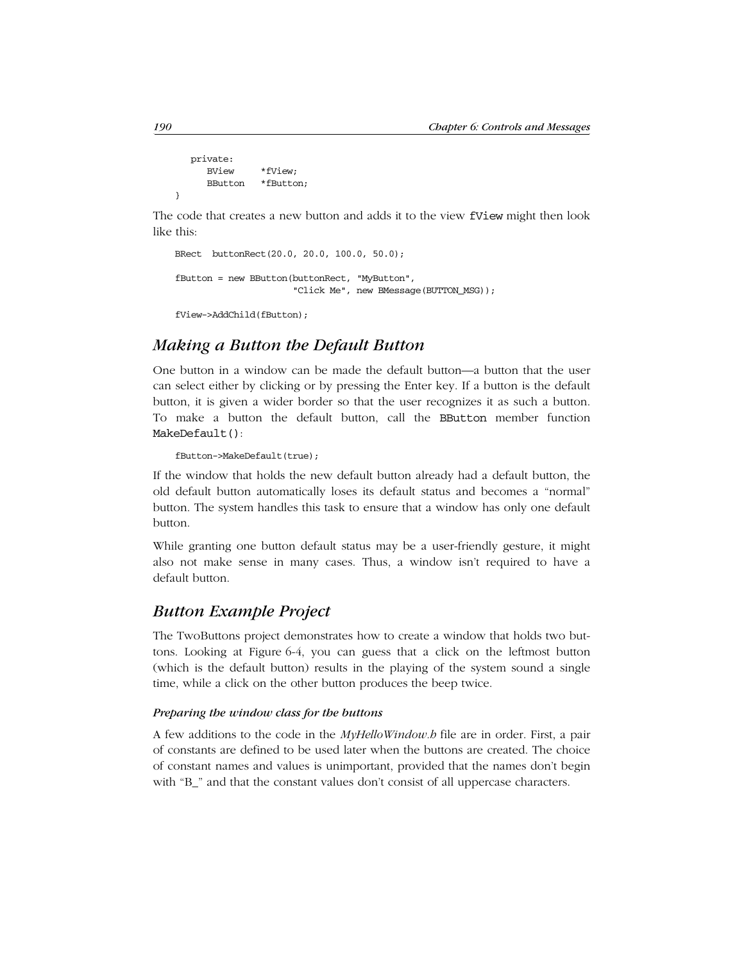```
 private:
           BYI<sub>i</sub> \rightarrow fVI<sub>i</sub> \rightarrow W BButton *fButton;
}
```
The code that creates a new button and adds it to the view fView might then look like this:

```
BRect buttonRect(20.0, 20.0, 100.0, 50.0);
fButton = new BButton(buttonRect, "MyButton",
                       "Click Me", new BMessage(BUTTON_MSG));
fView->AddChild(fButton);
```
# *Making a Button the Default Button*

One button in a window can be made the default button—a button that the user can select either by clicking or by pressing the Enter key. If a button is the default button, it is given a wider border so that the user recognizes it as such a button. To make a button the default button, call the BButton member function MakeDefault():

fButton->MakeDefault(true);

If the window that holds the new default button already had a default button, the old default button automatically loses its default status and becomes a "normal" button. The system handles this task to ensure that a window has only one default button.

While granting one button default status may be a user-friendly gesture, it might also not make sense in many cases. Thus, a window isn't required to have a default button.

### *Button Example Project*

The TwoButtons project demonstrates how to create a window that holds two buttons. Looking at Figure 6-4, you can guess that a click on the leftmost button (which is the default button) results in the playing of the system sound a single time, while a click on the other button produces the beep twice.

### *Preparing the window class for the buttons*

A few additions to the code in the *MyHelloWindow.h* file are in order. First, a pair of constants are defined to be used later when the buttons are created. The choice of constant names and values is unimportant, provided that the names don't begin with "B\_" and that the constant values don't consist of all uppercase characters.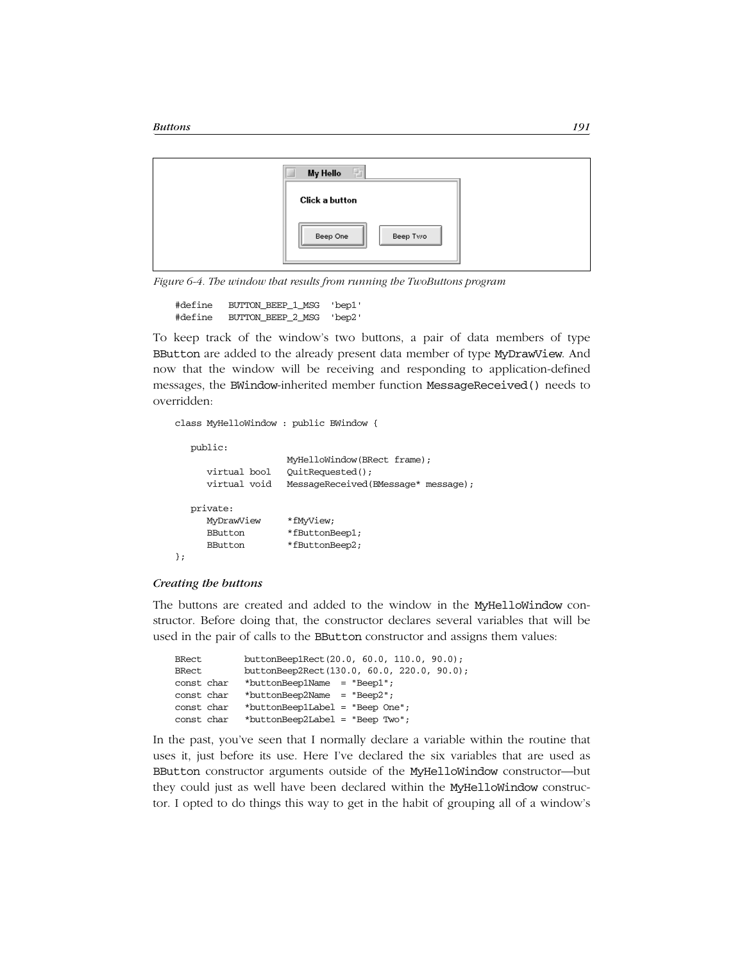*Buttons 191*

| 囤<br><b>My Hello</b><br>a |  |
|---------------------------|--|
| Click a button            |  |
| Beep One<br>Beep Two      |  |

*Figure 6-4. The window that results from running the TwoButtons program*

```
#define BUTTON_BEEP_1_MSG 'bep1'
#define BUTTON_BEEP_2_MSG 'bep2'
```
To keep track of the window's two buttons, a pair of data members of type BButton are added to the already present data member of type MyDrawView. And now that the window will be receiving and responding to application-defined messages, the BWindow-inherited member function MessageReceived() needs to overridden:

```
class MyHelloWindow : public BWindow {
```

```
 public:
                    MyHelloWindow(BRect frame);
     virtual bool  QuitRequested();
      virtual void MessageReceived(BMessage* message);
   private:
      MyDrawView *fMyView;
     BButton *fButtonBeep1;
     BButton *fButtonBeep2;
};
```
### *Creating the buttons*

The buttons are created and added to the window in the MyHelloWindow constructor. Before doing that, the constructor declares several variables that will be used in the pair of calls to the BButton constructor and assigns them values:

```
BRect buttonBeep1Rect(20.0, 60.0, 110.0, 90.0);
BRect buttonBeep2Rect(130.0, 60.0, 220.0, 90.0);
const char *buttonBeep1Name = "Beep1";
const char *buttonBeep2Name = "Beep2";
const char *buttonBeep1Label = "Beep One";
const char *buttonBeep2Label = "Beep Two";
```
In the past, you've seen that I normally declare a variable within the routine that uses it, just before its use. Here I've declared the six variables that are used as BButton constructor arguments outside of the MyHelloWindow constructor—but they could just as well have been declared within the MyHelloWindow constructor. I opted to do things this way to get in the habit of grouping all of a window's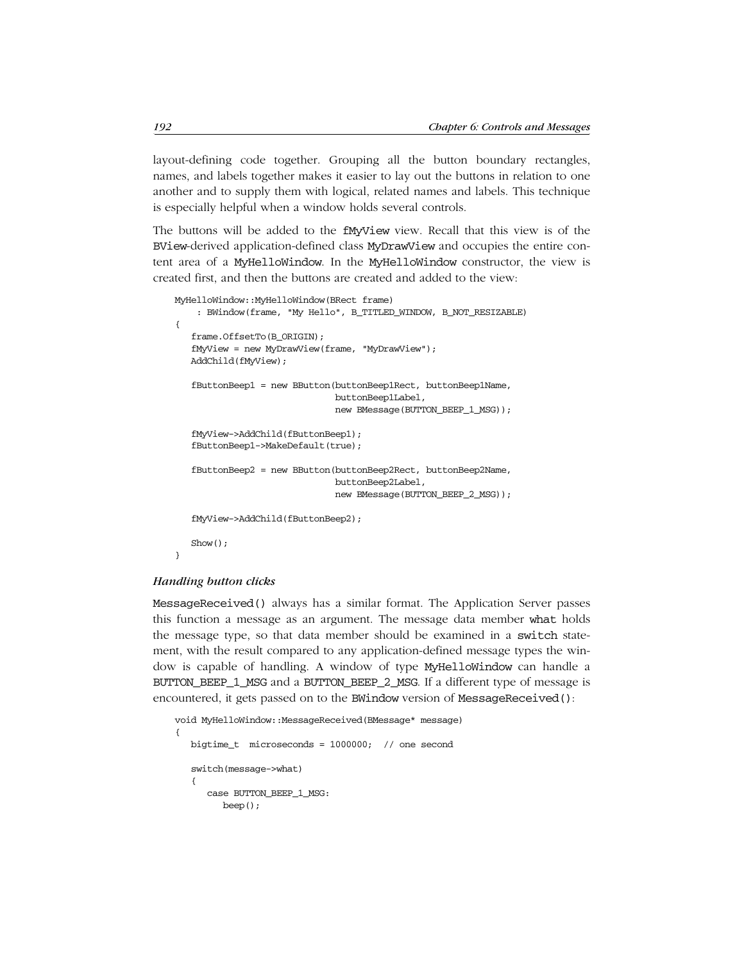layout-defining code together. Grouping all the button boundary rectangles, names, and labels together makes it easier to lay out the buttons in relation to one another and to supply them with logical, related names and labels. This technique is especially helpful when a window holds several controls.

The buttons will be added to the fMyView view. Recall that this view is of the BView-derived application-defined class MyDrawView and occupies the entire content area of a MyHelloWindow. In the MyHelloWindow constructor, the view is created first, and then the buttons are created and added to the view:

```
MyHelloWindow::MyHelloWindow(BRect frame)
     : BWindow(frame, "My Hello", B_TITLED_WINDOW, B_NOT_RESIZABLE)
{
    frame.OffsetTo(B_ORIGIN);
    fMyView = new MyDrawView(frame, "MyDrawView");
    AddChild(fMyView);
    fButtonBeep1 = new BButton(buttonBeep1Rect, buttonBeep1Name,
                                buttonBeep1Label,
                                new BMessage(BUTTON_BEEP_1_MSG));
    fMyView->AddChild(fButtonBeep1);
    fButtonBeep1->MakeDefault(true);
    fButtonBeep2 = new BButton(buttonBeep2Rect, buttonBeep2Name,
                                buttonBeep2Label,
                               new BMessage(BUTTON_BEEP_2_MSG));
    fMyView->AddChild(fButtonBeep2);
   Show():
}
```
### *Handling button clicks*

MessageReceived() always has a similar format. The Application Server passes this function a message as an argument. The message data member what holds the message type, so that data member should be examined in a switch statement, with the result compared to any application-defined message types the window is capable of handling. A window of type MyHelloWindow can handle a BUTTON\_BEEP\_1\_MSG and a BUTTON\_BEEP\_2\_MSG. If a different type of message is encountered, it gets passed on to the BWindow version of MessageReceived():

```
void MyHelloWindow::MessageReceived(BMessage* message)
{
   bigtime_t microseconds = 1000000; // one second
    switch(message->what)
\{ case BUTTON_BEEP_1_MSG:
         beep();
```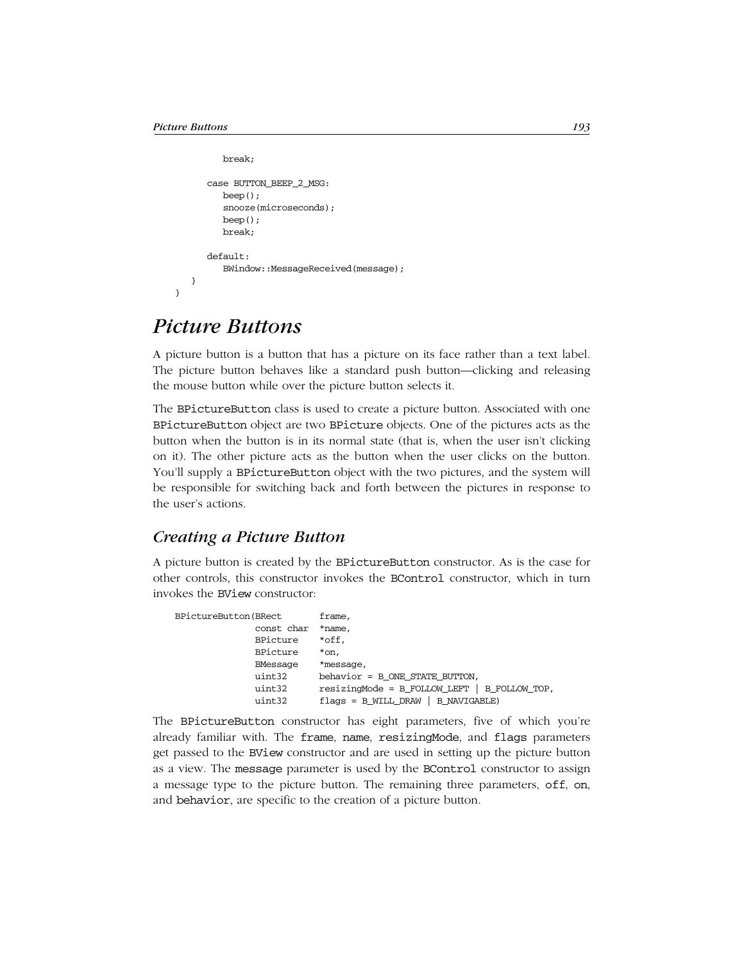```
 break;
       case BUTTON_BEEP_2_MSG:
          beep();
          snooze(microseconds);
          beep();
          break;
       default:
           BWindow::MessageReceived(message);
    }
}
```
# *Picture Buttons*

A picture button is a button that has a picture on its face rather than a text label. The picture button behaves like a standard push button—clicking and releasing the mouse button while over the picture button selects it.

The BPictureButton class is used to create a picture button. Associated with one BPictureButton object are two BPicture objects. One of the pictures acts as the button when the button is in its normal state (that is, when the user isn't clicking on it). The other picture acts as the button when the user clicks on the button. You'll supply a BPictureButton object with the two pictures, and the system will be responsible for switching back and forth between the pictures in response to the user's actions.

# *Creating a Picture Button*

A picture button is created by the BPictureButton constructor. As is the case for other controls, this constructor invokes the BControl constructor, which in turn invokes the BView constructor:

```
BPictureButton(BRect frame,
              const char *name,
              BPicture *off,
              BPicture *on,
              BMessage *message,
              uint32 behavior = B_ONE_STATE_BUTTON,
             uint32 resizingMode = B_FOLLOW_LEFT | B_FOLLOW_TOP,
              uint32 flags = B_WILL_DRAW | B_NAVIGABLE)
```
The BPictureButton constructor has eight parameters, five of which you're already familiar with. The frame, name, resizingMode, and flags parameters get passed to the BView constructor and are used in setting up the picture button as a view. The message parameter is used by the BControl constructor to assign a message type to the picture button. The remaining three parameters, off, on, and behavior, are specific to the creation of a picture button.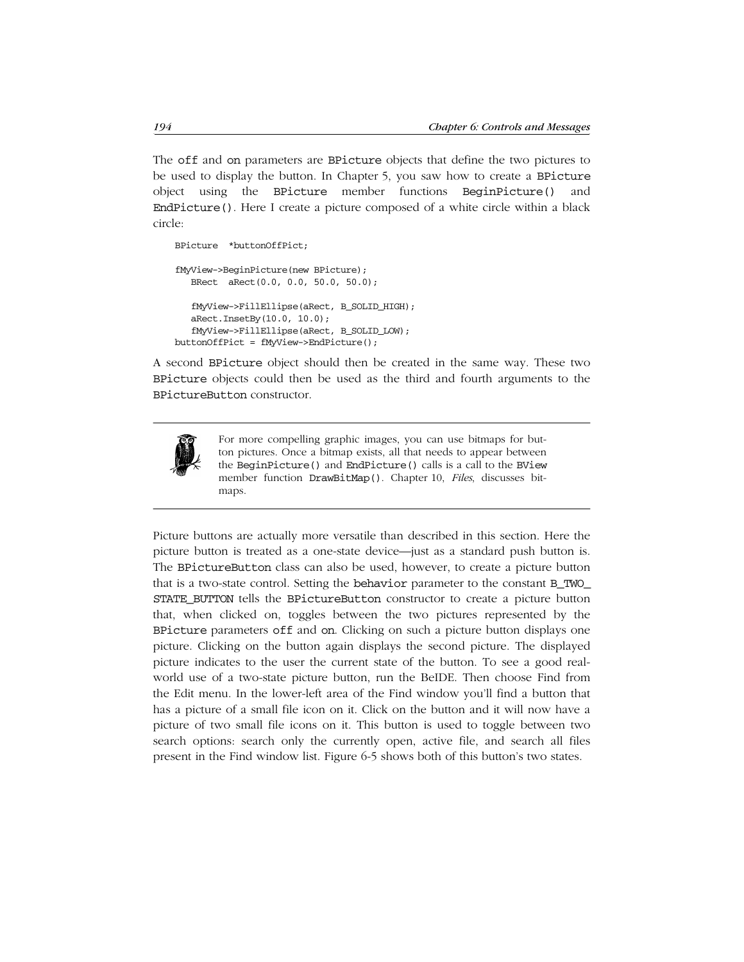The off and on parameters are BPicture objects that define the two pictures to be used to display the button. In Chapter 5, you saw how to create a BPicture object using the BPicture member functions BeginPicture() and EndPicture(). Here I create a picture composed of a white circle within a black circle:

```
BPicture *buttonOffPict;
fMyView->BeginPicture(new BPicture);
    BRect aRect(0.0, 0.0, 50.0, 50.0);
    fMyView->FillEllipse(aRect, B_SOLID_HIGH);
    aRect.InsetBy(10.0, 10.0);
    fMyView->FillEllipse(aRect, B_SOLID_LOW);
buttonOffPict = fMyView->EndPicture();
```
A second BPicture object should then be created in the same way. These two BPicture objects could then be used as the third and fourth arguments to the BPictureButton constructor.



For more compelling graphic images, you can use bitmaps for button pictures. Once a bitmap exists, all that needs to appear between the BeginPicture() and EndPicture() calls is a call to the BView member function DrawBitMap(). Chapter 10, *Files*, discusses bitmaps.

Picture buttons are actually more versatile than described in this section. Here the picture button is treated as a one-state device—just as a standard push button is. The BPictureButton class can also be used, however, to create a picture button that is a two-state control. Setting the behavior parameter to the constant B\_TWO\_ STATE\_BUTTON tells the BPictureButton constructor to create a picture button that, when clicked on, toggles between the two pictures represented by the BPicture parameters off and on. Clicking on such a picture button displays one picture. Clicking on the button again displays the second picture. The displayed picture indicates to the user the current state of the button. To see a good realworld use of a two-state picture button, run the BeIDE. Then choose Find from the Edit menu. In the lower-left area of the Find window you'll find a button that has a picture of a small file icon on it. Click on the button and it will now have a picture of two small file icons on it. This button is used to toggle between two search options: search only the currently open, active file, and search all files present in the Find window list. Figure 6-5 shows both of this button's two states.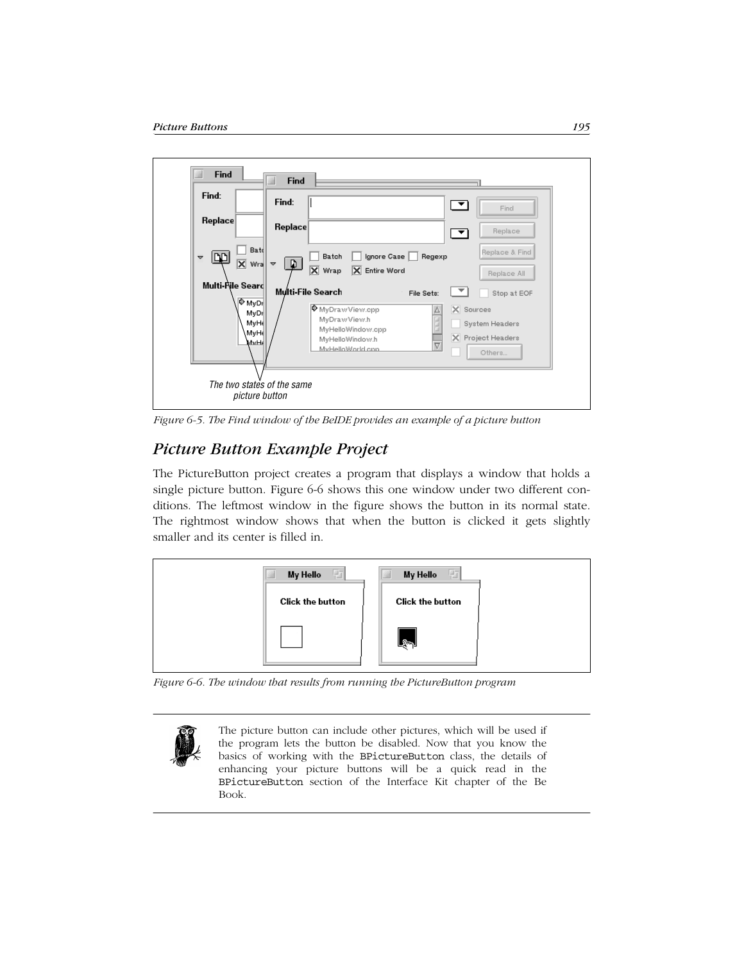

*Figure 6-5. The Find window of the BeIDE provides an example of a picture button*

# *Picture Button Example Project*

The PictureButton project creates a program that displays a window that holds a single picture button. Figure 6-6 shows this one window under two different conditions. The leftmost window in the figure shows the button in its normal state. The rightmost window shows that when the button is clicked it gets slightly smaller and its center is filled in.



*Figure 6-6. The window that results from running the PictureButton program*

The picture button can include other pictures, which will be used if the program lets the button be disabled. Now that you know the basics of working with the BPictureButton class, the details of enhancing your picture buttons will be a quick read in the BPictureButton section of the Interface Kit chapter of the Be Book.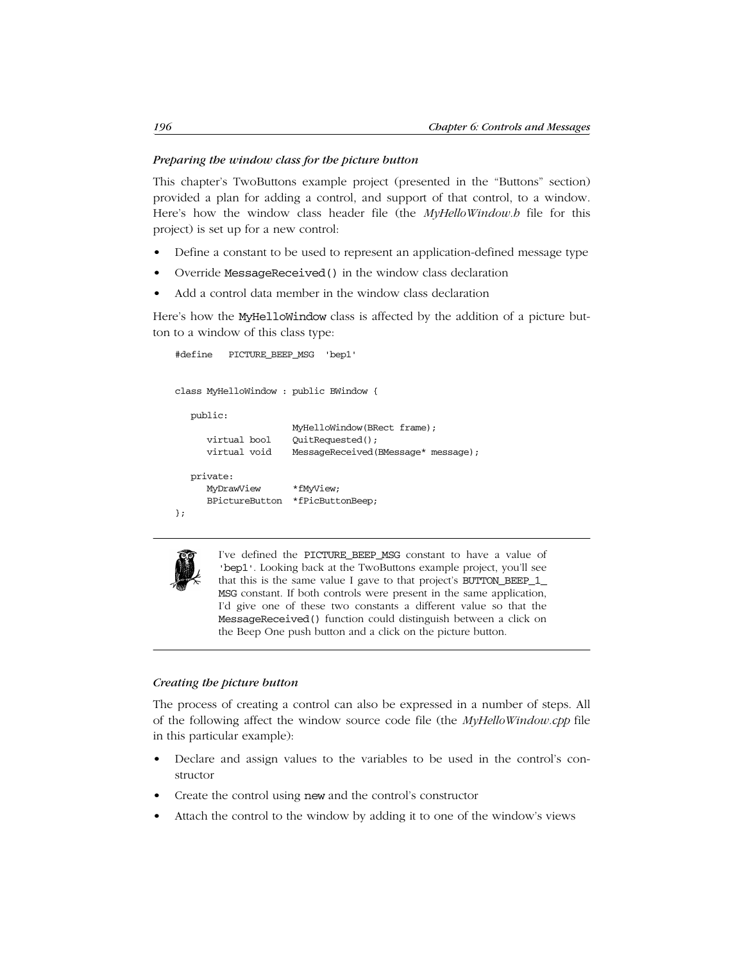### *Preparing the window class for the picture button*

This chapter's TwoButtons example project (presented in the "Buttons" section) provided a plan for adding a control, and support of that control, to a window. Here's how the window class header file (the *MyHelloWindow.h* file for this project) is set up for a new control:

- Define a constant to be used to represent an application-defined message type
- Override MessageReceived() in the window class declaration
- Add a control data member in the window class declaration

Here's how the MyHelloWindow class is affected by the addition of a picture button to a window of this class type:

| #define<br>PICTURE BEEP MSG            | 'bep1'                                                                                 |
|----------------------------------------|----------------------------------------------------------------------------------------|
| class MyHelloWindow : public BWindow { |                                                                                        |
| public:                                |                                                                                        |
| virtual bool<br>virtual void           | MyHelloWindow(BRect frame);<br>OuitRequested();<br>MessageReceived(BMessage* message); |
| private:                               |                                                                                        |
| MyDrawView                             | *fMyView;                                                                              |
|                                        | BPictureButton *fPicButtonBeep;                                                        |
|                                        |                                                                                        |



I've defined the PICTURE\_BEEP\_MSG constant to have a value of 'bep1'. Looking back at the TwoButtons example project, you'll see that this is the same value I gave to that project's BUTTON\_BEEP\_1\_ MSG constant. If both controls were present in the same application, I'd give one of these two constants a different value so that the MessageReceived() function could distinguish between a click on the Beep One push button and a click on the picture button.

### *Creating the picture button*

The process of creating a control can also be expressed in a number of steps. All of the following affect the window source code file (the *MyHelloWindow.cpp* file in this particular example):

- Declare and assign values to the variables to be used in the control's constructor
- Create the control using new and the control's constructor
- Attach the control to the window by adding it to one of the window's views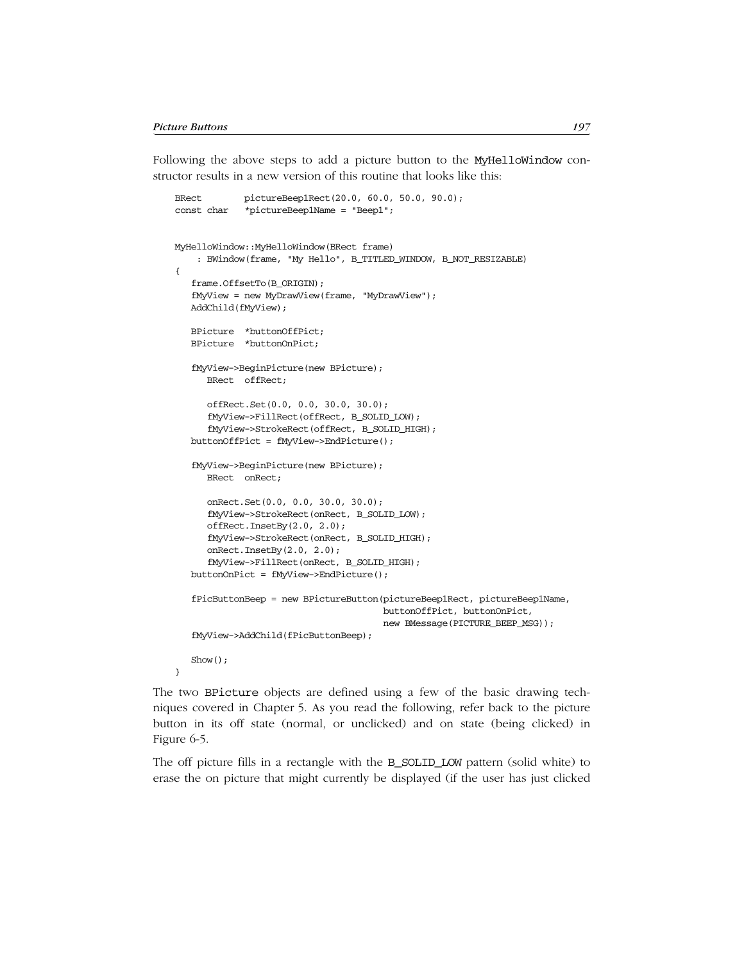Following the above steps to add a picture button to the MyHelloWindow constructor results in a new version of this routine that looks like this:

```
BRect pictureBeep1Rect(20.0, 60.0, 50.0, 90.0);
const char *pictureBeep1Name = "Beep1";
MyHelloWindow::MyHelloWindow(BRect frame)
     : BWindow(frame, "My Hello", B_TITLED_WINDOW, B_NOT_RESIZABLE)
{
    frame.OffsetTo(B_ORIGIN);
    fMyView = new MyDrawView(frame, "MyDrawView");
   AddChild(fMyView);
    BPicture *buttonOffPict;
   BPicture *buttonOnPict;
    fMyView->BeginPicture(new BPicture);
       BRect offRect;
       offRect.Set(0.0, 0.0, 30.0, 30.0);
       fMyView->FillRect(offRect, B_SOLID_LOW);
       fMyView->StrokeRect(offRect, B_SOLID_HIGH);
    buttonOffPict = fMyView->EndPicture();
    fMyView->BeginPicture(new BPicture);
       BRect onRect;
       onRect.Set(0.0, 0.0, 30.0, 30.0);
       fMyView->StrokeRect(onRect, B_SOLID_LOW);
       offRect.InsetBy(2.0, 2.0);
       fMyView->StrokeRect(onRect, B_SOLID_HIGH);
       onRect.InsetBy(2.0, 2.0);
       fMyView->FillRect(onRect, B_SOLID_HIGH);
    buttonOnPict = fMyView->EndPicture();
    fPicButtonBeep = new BPictureButton(pictureBeep1Rect, pictureBeep1Name,
                                        buttonOffPict, buttonOnPict,
                                        new BMessage(PICTURE BEEP MSG));
    fMyView->AddChild(fPicButtonBeep);
   Show();
}
```
The two BPicture objects are defined using a few of the basic drawing techniques covered in Chapter 5. As you read the following, refer back to the picture button in its off state (normal, or unclicked) and on state (being clicked) in Figure 6-5.

The off picture fills in a rectangle with the B\_SOLID\_LOW pattern (solid white) to erase the on picture that might currently be displayed (if the user has just clicked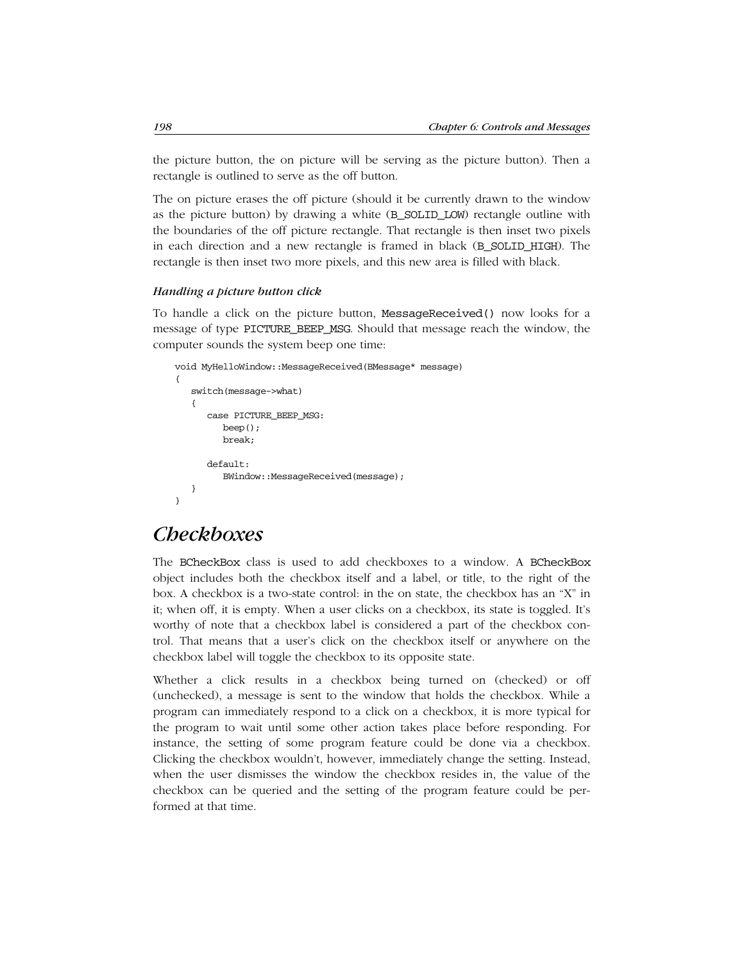the picture button, the on picture will be serving as the picture button). Then a rectangle is outlined to serve as the off button.

The on picture erases the off picture (should it be currently drawn to the window as the picture button) by drawing a white (B\_SOLID\_LOW) rectangle outline with the boundaries of the off picture rectangle. That rectangle is then inset two pixels in each direction and a new rectangle is framed in black (B\_SOLID\_HIGH). The rectangle is then inset two more pixels, and this new area is filled with black.

### *Handling a picture button click*

To handle a click on the picture button, MessageReceived() now looks for a message of type PICTURE\_BEEP\_MSG. Should that message reach the window, the computer sounds the system beep one time:

```
void MyHelloWindow::MessageReceived(BMessage* message)
{
    switch(message->what)
    {
       case PICTURE_BEEP_MSG:
          beep();
          break;
       default:
          BWindow::MessageReceived(message);
    }
}
```
# *Checkboxes*

The BCheckBox class is used to add checkboxes to a window. A BCheckBox object includes both the checkbox itself and a label, or title, to the right of the box. A checkbox is a two-state control: in the on state, the checkbox has an "X" in it; when off, it is empty. When a user clicks on a checkbox, its state is toggled. It's worthy of note that a checkbox label is considered a part of the checkbox control. That means that a user's click on the checkbox itself or anywhere on the checkbox label will toggle the checkbox to its opposite state.

Whether a click results in a checkbox being turned on (checked) or off (unchecked), a message is sent to the window that holds the checkbox. While a program can immediately respond to a click on a checkbox, it is more typical for the program to wait until some other action takes place before responding. For instance, the setting of some program feature could be done via a checkbox. Clicking the checkbox wouldn't, however, immediately change the setting. Instead, when the user dismisses the window the checkbox resides in, the value of the checkbox can be queried and the setting of the program feature could be performed at that time.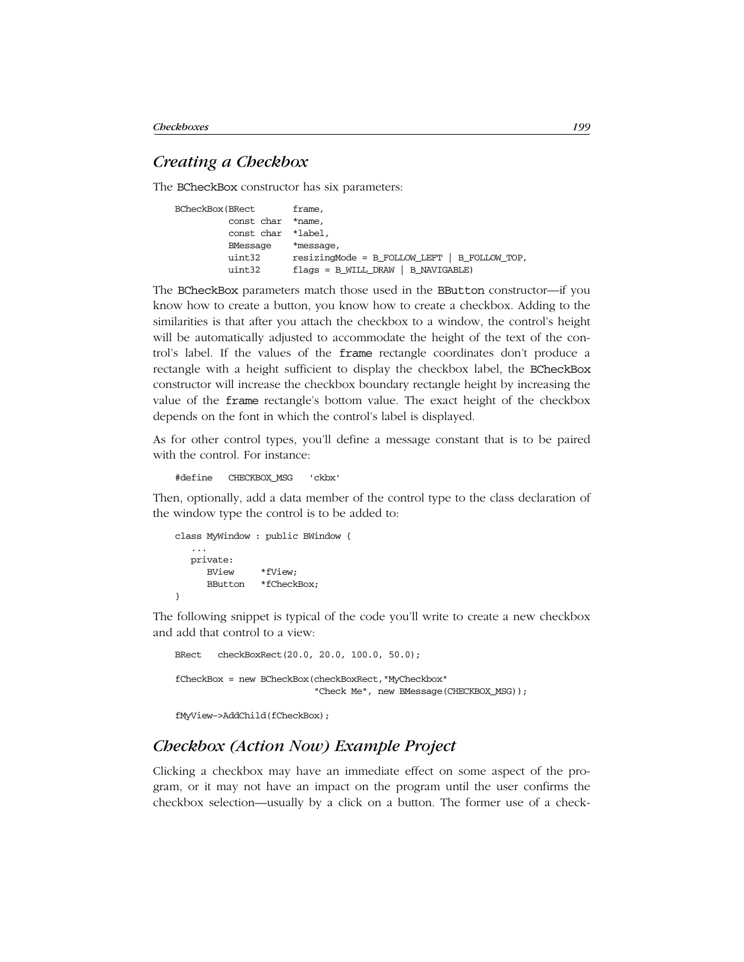# *Creating a Checkbox*

The BCheckBox constructor has six parameters:

BCheckBox(BRect frame, const char \*name, const char \*label, BMessage \*message, uint32 resizingMode = B\_FOLLOW\_LEFT | B\_FOLLOW\_TOP,  $uint32$  flags = B WILL DRAW | B\_NAVIGABLE)

The BCheckBox parameters match those used in the BButton constructor—if you know how to create a button, you know how to create a checkbox. Adding to the similarities is that after you attach the checkbox to a window, the control's height will be automatically adjusted to accommodate the height of the text of the control's label. If the values of the frame rectangle coordinates don't produce a rectangle with a height sufficient to display the checkbox label, the BCheckBox constructor will increase the checkbox boundary rectangle height by increasing the value of the frame rectangle's bottom value. The exact height of the checkbox depends on the font in which the control's label is displayed.

As for other control types, you'll define a message constant that is to be paired with the control. For instance:

#define CHECKBOX\_MSG 'ckbx'

Then, optionally, add a data member of the control type to the class declaration of the window type the control is to be added to:

```
class MyWindow : public BWindow {
   ...
   private:
      BView *fView;
      BButton *fCheckBox;
}
```
The following snippet is typical of the code you'll write to create a new checkbox and add that control to a view:

```
BRect checkBoxRect(20.0, 20.0, 100.0, 50.0);
fCheckBox = new BCheckBox(checkBoxRect,"MyCheckbox"
                           "Check Me", new BMessage(CHECKBOX_MSG));
```
fMyView->AddChild(fCheckBox);

### *Checkbox (Action Now) Example Project*

Clicking a checkbox may have an immediate effect on some aspect of the program, or it may not have an impact on the program until the user confirms the checkbox selection—usually by a click on a button. The former use of a check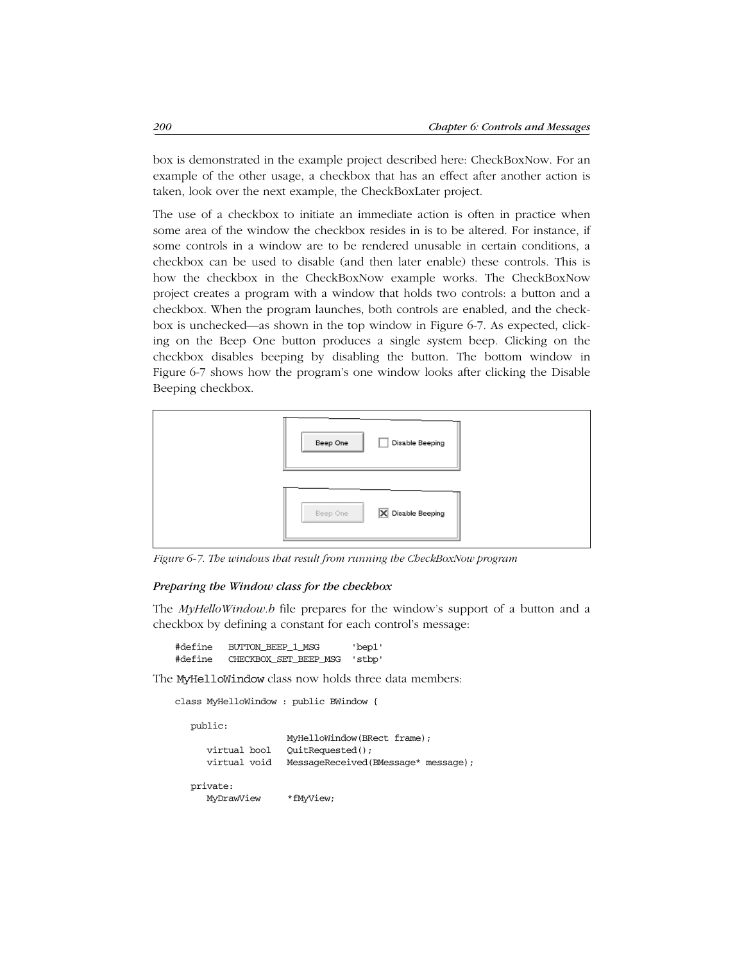box is demonstrated in the example project described here: CheckBoxNow. For an example of the other usage, a checkbox that has an effect after another action is taken, look over the next example, the CheckBoxLater project.

The use of a checkbox to initiate an immediate action is often in practice when some area of the window the checkbox resides in is to be altered. For instance, if some controls in a window are to be rendered unusable in certain conditions, a checkbox can be used to disable (and then later enable) these controls. This is how the checkbox in the CheckBoxNow example works. The CheckBoxNow project creates a program with a window that holds two controls: a button and a checkbox. When the program launches, both controls are enabled, and the checkbox is unchecked—as shown in the top window in Figure 6-7. As expected, clicking on the Beep One button produces a single system beep. Clicking on the checkbox disables beeping by disabling the button. The bottom window in Figure 6-7 shows how the program's one window looks after clicking the Disable Beeping checkbox.



*Figure 6-7. The windows that result from running the CheckBoxNow program*

### *Preparing the Window class for the checkbox*

The *MyHelloWindow.h* file prepares for the window's support of a button and a checkbox by defining a constant for each control's message:

#define BUTTON\_BEEP\_1\_MSG 'bep1' #define CHECKBOX\_SET\_BEEP\_MSG 'stbp'

The MyHelloWindow class now holds three data members:

```
class MyHelloWindow : public BWindow {
   public:
                     MyHelloWindow(BRect frame);
     virtual bool  QuitRequested();
      virtual void MessageReceived(BMessage* message);
   private:
      MyDrawView *fMyView;
```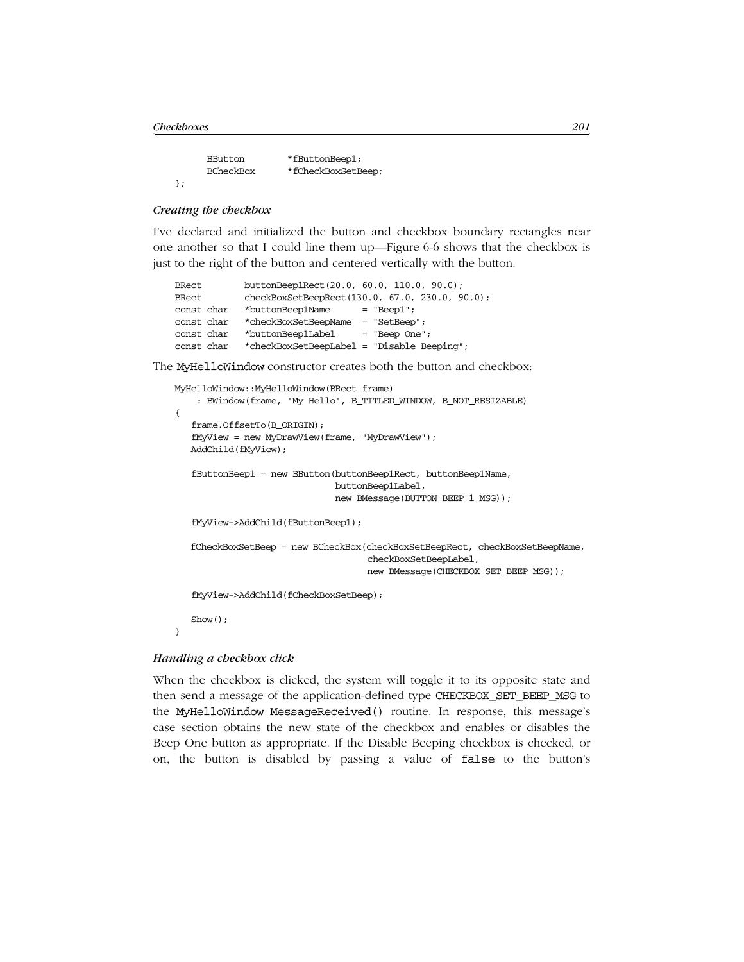BButton \*fButtonBeep1; BCheckBox \*fCheckBoxSetBeep; };

### *Creating the checkbox*

I've declared and initialized the button and checkbox boundary rectangles near one another so that I could line them up—Figure 6-6 shows that the checkbox is just to the right of the button and centered vertically with the button.

| BRect      | buttonBeep1Rect(20.0, 60.0, 110.0, 90.0);      |  |
|------------|------------------------------------------------|--|
| BRect      | checkBoxSetBeepRect(130.0, 67.0, 230.0, 90.0); |  |
| const char | $=$ "Beep1";<br>*buttonBeep1Name               |  |
| const char | *checkBoxSetBeepName<br>$=$ "SetBeep";         |  |
| const char | $=$ "Beep One";<br>*buttonBeep1Label           |  |
| const char | *checkBoxSetBeepLabel = "Disable Beeping";     |  |

The MyHelloWindow constructor creates both the button and checkbox:

```
MyHelloWindow::MyHelloWindow(BRect frame)
     : BWindow(frame, "My Hello", B_TITLED_WINDOW, B_NOT_RESIZABLE)
{
    frame.OffsetTo(B_ORIGIN);
    fMyView = new MyDrawView(frame, "MyDrawView");
    AddChild(fMyView);
    fButtonBeep1 = new BButton(buttonBeep1Rect, buttonBeep1Name,
                                buttonBeep1Label,
                               new BMessage(BUTTON_BEEP_1_MSG));
    fMyView->AddChild(fButtonBeep1);
   fCheckBoxSetBeep = new BCheckBox(checkBoxSetBeepRect, checkBoxSetBeepName,
                                      checkBoxSetBeepLabel,
                                      new BMessage(CHECKBOX_SET_BEEP_MSG));
    fMyView->AddChild(fCheckBoxSetBeep);
   Show();
}
```
### *Handling a checkbox click*

When the checkbox is clicked, the system will toggle it to its opposite state and then send a message of the application-defined type CHECKBOX\_SET\_BEEP\_MSG to the MyHelloWindow MessageReceived() routine. In response, this message's case section obtains the new state of the checkbox and enables or disables the Beep One button as appropriate. If the Disable Beeping checkbox is checked, or on, the button is disabled by passing a value of false to the button's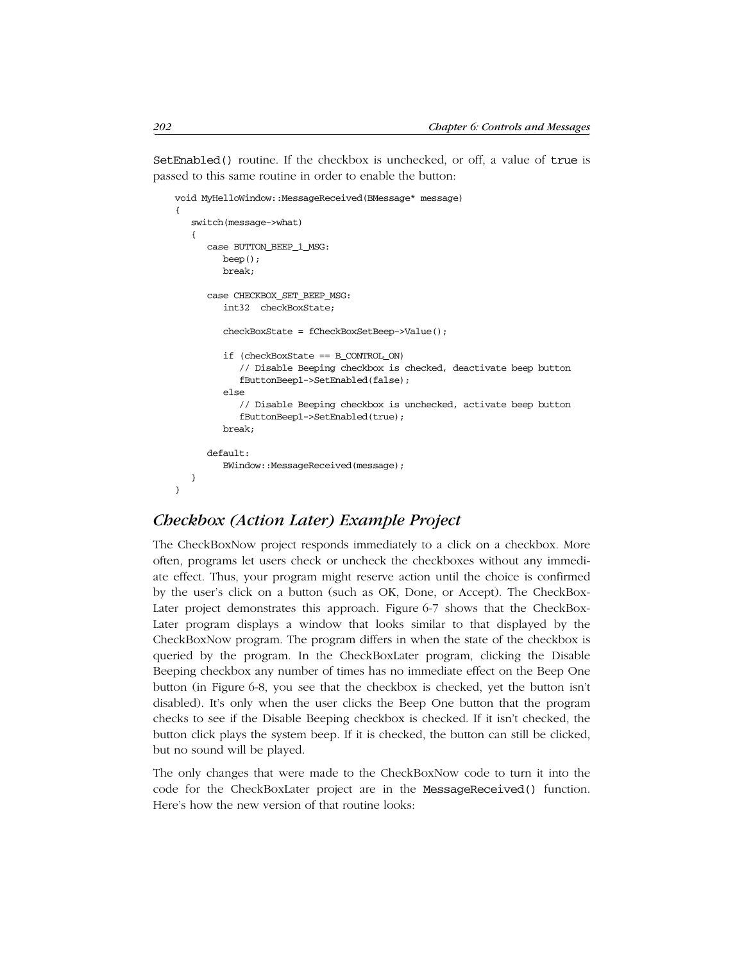SetEnabled() routine. If the checkbox is unchecked, or off, a value of true is passed to this same routine in order to enable the button:

```
void MyHelloWindow::MessageReceived(BMessage* message)
{
    switch(message->what)
    {
       case BUTTON_BEEP_1_MSG:
         beep();
         break;
       case CHECKBOX_SET_BEEP_MSG:
          int32 checkBoxState;
         checkBoxState = fChackBoxSchABoxSat if (checkBoxState == B_CONTROL_ON)
             // Disable Beeping checkbox is checked, deactivate beep button
             fButtonBeep1->SetEnabled(false);
          else
             // Disable Beeping checkbox is unchecked, activate beep button
             fButtonBeep1->SetEnabled(true);
          break;
       default:
          BWindow::MessageReceived(message);
    }
}
```
# *Checkbox (Action Later) Example Project*

The CheckBoxNow project responds immediately to a click on a checkbox. More often, programs let users check or uncheck the checkboxes without any immediate effect. Thus, your program might reserve action until the choice is confirmed by the user's click on a button (such as OK, Done, or Accept). The CheckBox-Later project demonstrates this approach. Figure 6-7 shows that the CheckBox-Later program displays a window that looks similar to that displayed by the CheckBoxNow program. The program differs in when the state of the checkbox is queried by the program. In the CheckBoxLater program, clicking the Disable Beeping checkbox any number of times has no immediate effect on the Beep One button (in Figure 6-8, you see that the checkbox is checked, yet the button isn't disabled). It's only when the user clicks the Beep One button that the program checks to see if the Disable Beeping checkbox is checked. If it isn't checked, the button click plays the system beep. If it is checked, the button can still be clicked, but no sound will be played.

The only changes that were made to the CheckBoxNow code to turn it into the code for the CheckBoxLater project are in the MessageReceived() function. Here's how the new version of that routine looks: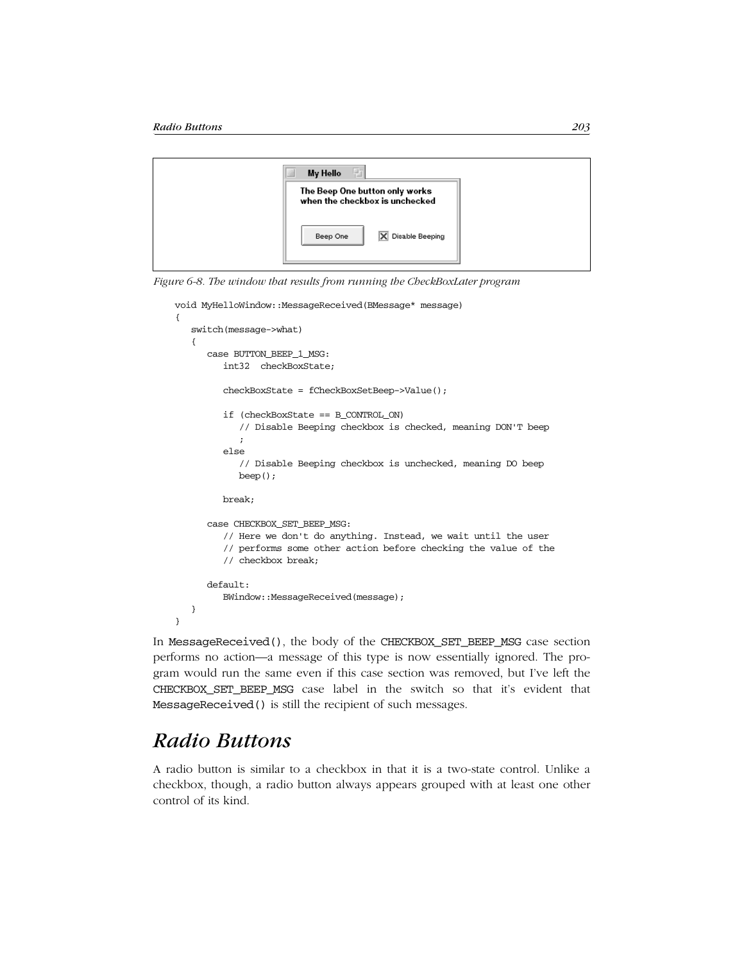| 啊<br>My Hello                                                    |
|------------------------------------------------------------------|
| The Beep One button only works<br>when the checkbox is unchecked |
| X Disable Beeping<br>Beep One                                    |

*Figure 6-8. The window that results from running the CheckBoxLater program*

```
void MyHelloWindow::MessageReceived(BMessage* message)
{
    switch(message->what)
    {
       case BUTTON_BEEP_1_MSG:
           int32 checkBoxState;
           checkBoxState = fCheckBoxSetBeep->Value();
           if (checkBoxState == B_CONTROL_ON)
              // Disable Beeping checkbox is checked, meaning DON'T beep
\mathcal{L} ; and \mathcal{L} ; and \mathcal{L} else
              // Disable Beeping checkbox is unchecked, meaning DO beep
              beep();
           break;
       case CHECKBOX_SET_BEEP_MSG:
           // Here we don't do anything. Instead, we wait until the user
           // performs some other action before checking the value of the
           // checkbox break;
       default:
           BWindow::MessageReceived(message);
    }
}
```
In MessageReceived(), the body of the CHECKBOX\_SET\_BEEP\_MSG case section performs no action—a message of this type is now essentially ignored. The program would run the same even if this case section was removed, but I've left the CHECKBOX\_SET\_BEEP\_MSG case label in the switch so that it's evident that MessageReceived() is still the recipient of such messages.

# *Radio Buttons*

A radio button is similar to a checkbox in that it is a two-state control. Unlike a checkbox, though, a radio button always appears grouped with at least one other control of its kind.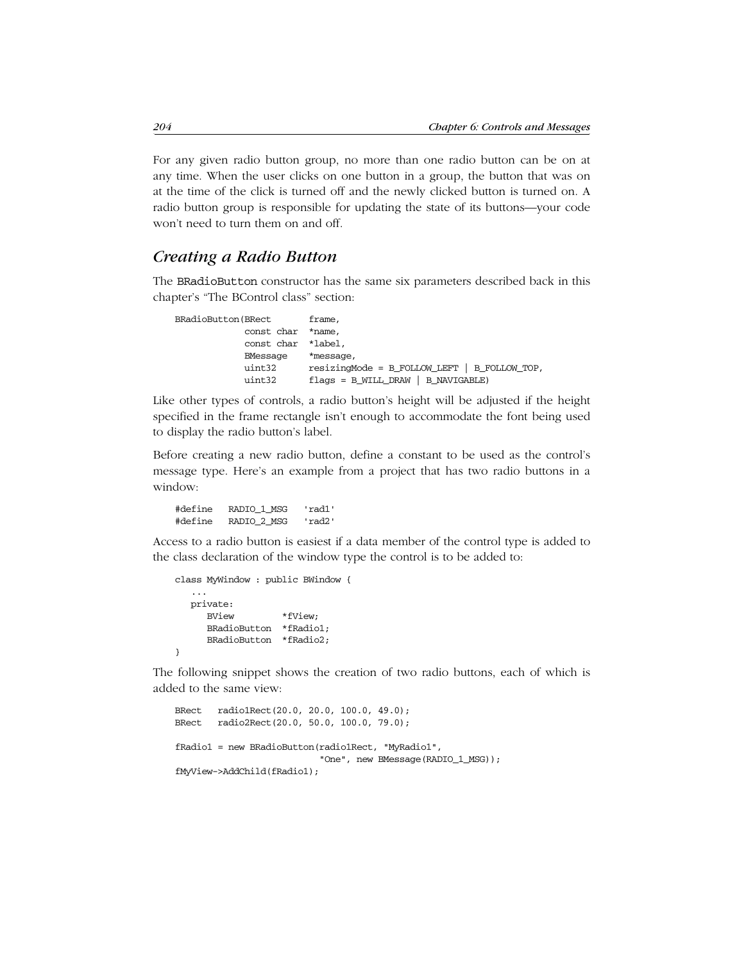For any given radio button group, no more than one radio button can be on at any time. When the user clicks on one button in a group, the button that was on at the time of the click is turned off and the newly clicked button is turned on. A radio button group is responsible for updating the state of its buttons—your code won't need to turn them on and off.

# *Creating a Radio Button*

The BRadioButton constructor has the same six parameters described back in this chapter's "The BControl class" section:

BRadioButton(BRect frame, const char \*name, const char \*label, BMessage \*message, uint32 resizingMode = B\_FOLLOW\_LEFT | B\_FOLLOW\_TOP, uint32 flags = B\_WILL\_DRAW | B\_NAVIGABLE)

Like other types of controls, a radio button's height will be adjusted if the height specified in the frame rectangle isn't enough to accommodate the font being used to display the radio button's label.

Before creating a new radio button, define a constant to be used as the control's message type. Here's an example from a project that has two radio buttons in a window:

#define RADIO\_1\_MSG 'rad1' RADIO\_2\_MSG

Access to a radio button is easiest if a data member of the control type is added to the class declaration of the window type the control is to be added to:

```
class MyWindow : public BWindow {
    ...
   private:
      BView *fView;
      BRadioButton *fRadio1;
      BRadioButton *fRadio2;
}
```
The following snippet shows the creation of two radio buttons, each of which is added to the same view:

```
BRect radio1Rect(20.0, 20.0, 100.0, 49.0);
BRect radio2Rect(20.0, 50.0, 100.0, 79.0);
fRadio1 = new BRadioButton(radio1Rect, "MyRadio1",
                            "One", new BMessage(RADIO_1_MSG));
fMyView->AddChild(fRadio1);
```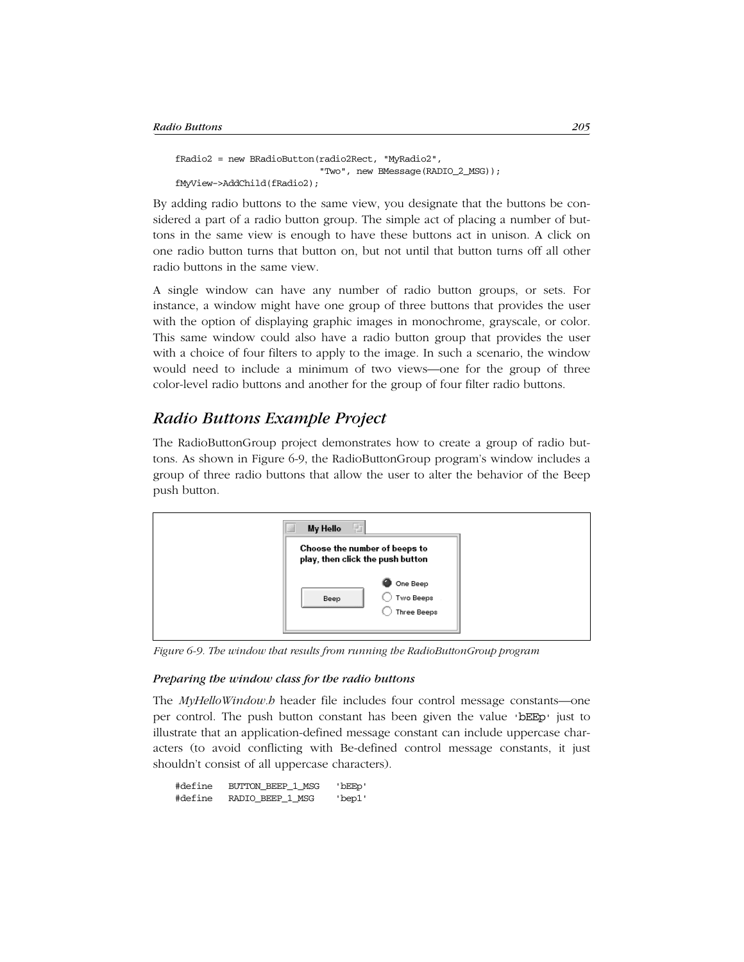```
fRadio2 = new BRadioButton(radio2Rect, "MyRadio2",
                           "Two", new BMessage(RADIO 2 MSG));
fMyView->AddChild(fRadio2);
```
By adding radio buttons to the same view, you designate that the buttons be considered a part of a radio button group. The simple act of placing a number of buttons in the same view is enough to have these buttons act in unison. A click on one radio button turns that button on, but not until that button turns off all other radio buttons in the same view.

A single window can have any number of radio button groups, or sets. For instance, a window might have one group of three buttons that provides the user with the option of displaying graphic images in monochrome, grayscale, or color. This same window could also have a radio button group that provides the user with a choice of four filters to apply to the image. In such a scenario, the window would need to include a minimum of two views—one for the group of three color-level radio buttons and another for the group of four filter radio buttons.

# *Radio Buttons Example Project*

The RadioButtonGroup project demonstrates how to create a group of radio buttons. As shown in Figure 6-9, the RadioButtonGroup program's window includes a group of three radio buttons that allow the user to alter the behavior of the Beep push button.



*Figure 6-9. The window that results from running the RadioButtonGroup program*

### *Preparing the window class for the radio buttons*

The *MyHelloWindow.h* header file includes four control message constants—one per control. The push button constant has been given the value 'bEEp' just to illustrate that an application-defined message constant can include uppercase characters (to avoid conflicting with Be-defined control message constants, it just shouldn't consist of all uppercase characters).

| #define | BUTTON BEEP 1 MSG | 'bEEp' |
|---------|-------------------|--------|
| #define | RADIO BEEP 1 MSG  | 'bep1' |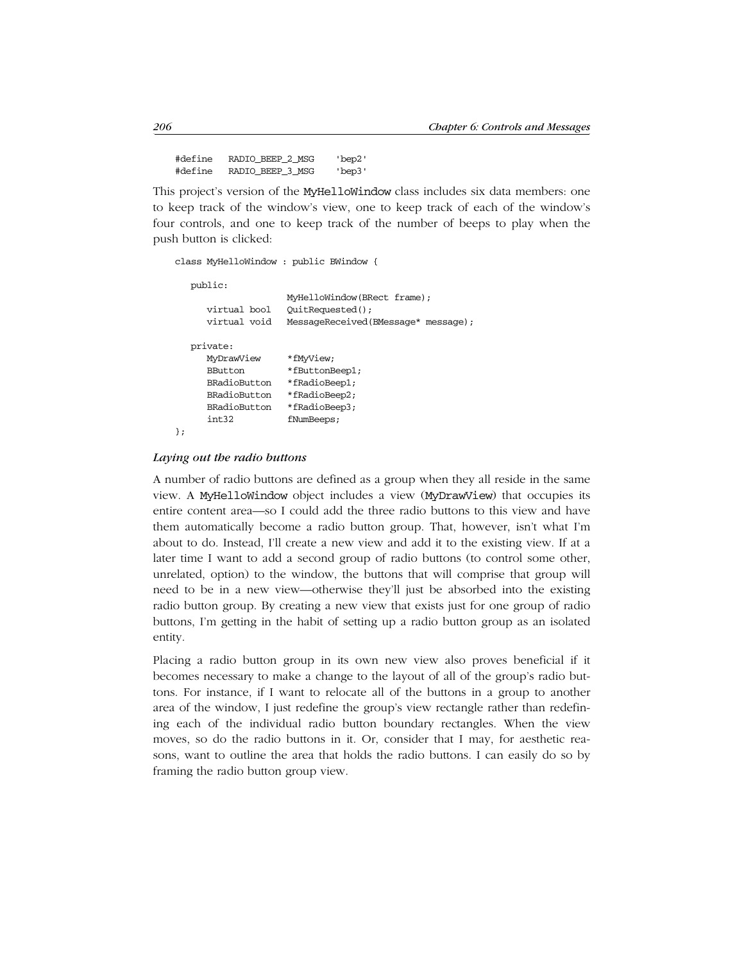| #define | RADIO BEEP 2 MSG | 'bep2' |
|---------|------------------|--------|
| #define | RADIO BEEP 3 MSG | 'bep3' |

This project's version of the MyHelloWindow class includes six data members: one to keep track of the window's view, one to keep track of each of the window's four controls, and one to keep track of the number of beeps to play when the push button is clicked:

```
class MyHelloWindow : public BWindow {
   public:
                    MyHelloWindow(BRect frame);
      virtual bool QuitRequested();
      virtual void MessageReceived(BMessage* message);
   private:
      MyDrawView *fMyView;
     BButton *fButtonBeep1;
      BRadioButton *fRadioBeep1;
      BRadioButton *fRadioBeep2;
      BRadioButton *fRadioBeep3;
      int32 fNumBeeps;
};
```
### *Laying out the radio buttons*

A number of radio buttons are defined as a group when they all reside in the same view. A MyHelloWindow object includes a view (MyDrawView) that occupies its entire content area—so I could add the three radio buttons to this view and have them automatically become a radio button group. That, however, isn't what I'm about to do. Instead, I'll create a new view and add it to the existing view. If at a later time I want to add a second group of radio buttons (to control some other, unrelated, option) to the window, the buttons that will comprise that group will need to be in a new view—otherwise they'll just be absorbed into the existing radio button group. By creating a new view that exists just for one group of radio buttons, I'm getting in the habit of setting up a radio button group as an isolated entity.

Placing a radio button group in its own new view also proves beneficial if it becomes necessary to make a change to the layout of all of the group's radio buttons. For instance, if I want to relocate all of the buttons in a group to another area of the window, I just redefine the group's view rectangle rather than redefining each of the individual radio button boundary rectangles. When the view moves, so do the radio buttons in it. Or, consider that I may, for aesthetic reasons, want to outline the area that holds the radio buttons. I can easily do so by framing the radio button group view.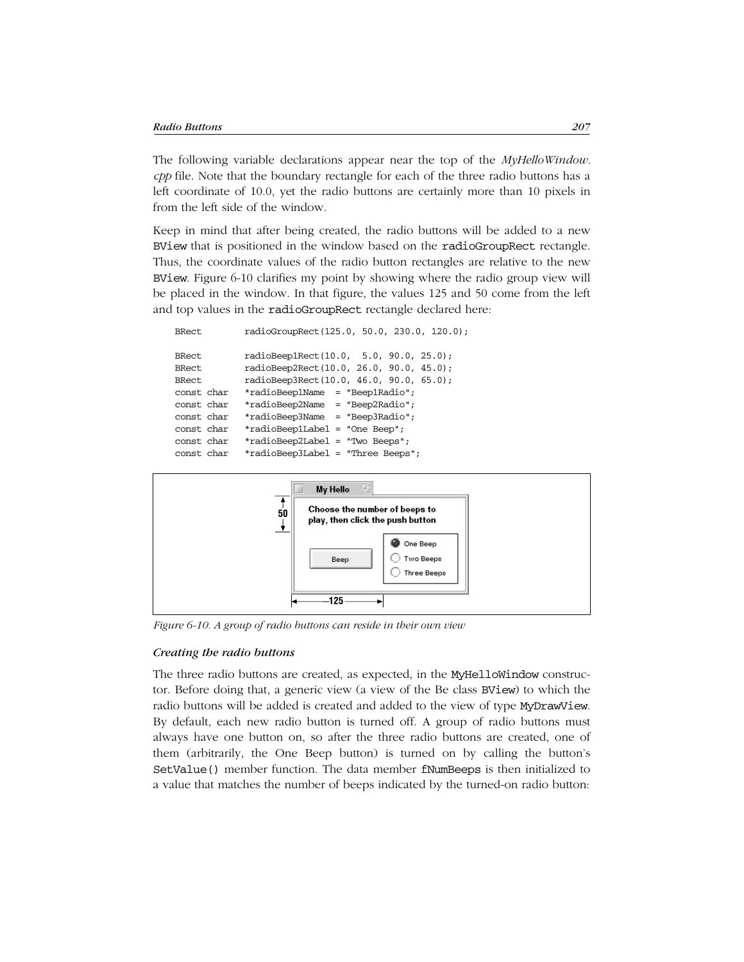The following variable declarations appear near the top of the *MyHelloWindow. cpp* file. Note that the boundary rectangle for each of the three radio buttons has a left coordinate of 10.0, yet the radio buttons are certainly more than 10 pixels in from the left side of the window.

Keep in mind that after being created, the radio buttons will be added to a new BView that is positioned in the window based on the radioGroupRect rectangle. Thus, the coordinate values of the radio button rectangles are relative to the new BView. Figure 6-10 clarifies my point by showing where the radio group view will be placed in the window. In that figure, the values 125 and 50 come from the left and top values in the radioGroupRect rectangle declared here:

| <b>BRect</b> | radioGroupRect(125.0, 50.0, 230.0, 120.0); |
|--------------|--------------------------------------------|
| <b>BRect</b> | radioBeep1Rect(10.0, 5.0, 90.0, 25.0);     |
|              |                                            |
| BRect.       | radioBeep2Rect(10.0, 26.0, 90.0, 45.0);    |
| <b>BRect</b> | radioBeep3Rect(10.0, 46.0, 90.0, 65.0);    |
| const char   | *radioBeep1Name = "Beep1Radio";            |
| const char   | $*$ radioBeep2Name = "Beep2Radio";         |
| const char   | *radioBeep3Name = "Beep3Radio";            |
| const char   | *radioBeep1Label = "One Beep";             |
| const char   | $*$ radioBeep2Label = "Two Beeps";         |
| const char   | *radioBeep3Label = "Three Beeps";          |
|              |                                            |



*Figure 6-10. A group of radio buttons can reside in their own view*

### *Creating the radio buttons*

The three radio buttons are created, as expected, in the MyHelloWindow constructor. Before doing that, a generic view (a view of the Be class BView) to which the radio buttons will be added is created and added to the view of type MyDrawView. By default, each new radio button is turned off. A group of radio buttons must always have one button on, so after the three radio buttons are created, one of them (arbitrarily, the One Beep button) is turned on by calling the button's SetValue() member function. The data member fNumBeeps is then initialized to a value that matches the number of beeps indicated by the turned-on radio button: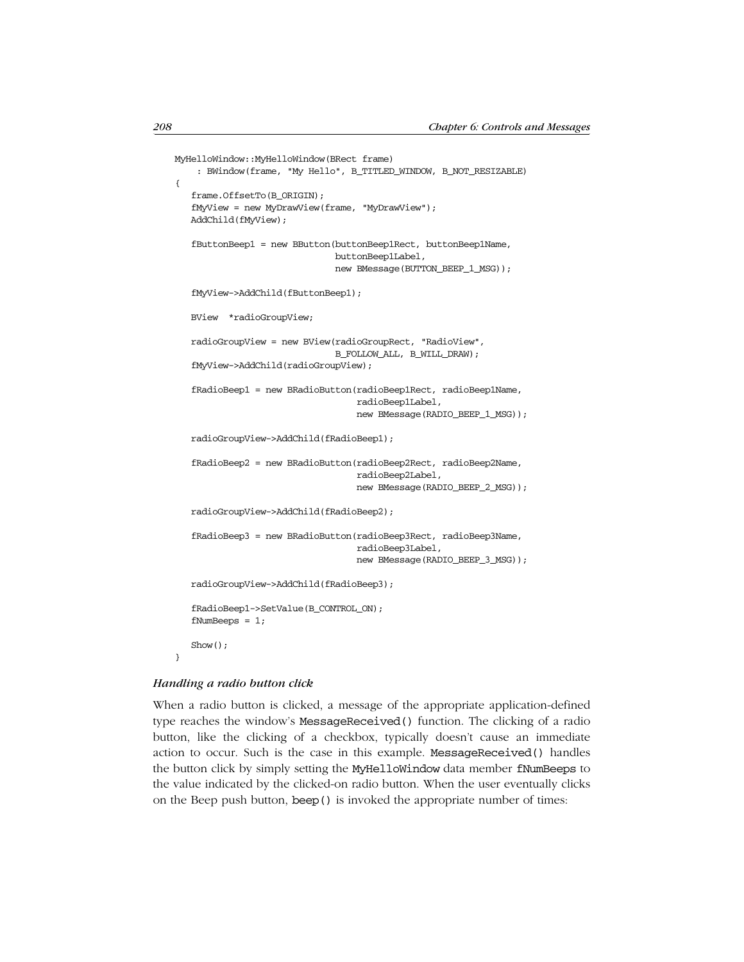```
MyHelloWindow::MyHelloWindow(BRect frame)
    : BWindow(frame, "My Hello", B_TITLED_WINDOW, B_NOT_RESIZABLE)
{
    frame.OffsetTo(B_ORIGIN);
    fMyView = new MyDrawView(frame, "MyDrawView");
    AddChild(fMyView);
    fButtonBeep1 = new BButton(buttonBeep1Rect, buttonBeep1Name,
                                buttonBeep1Label,
                                new BMessage(BUTTON_BEEP_1_MSG));
    fMyView->AddChild(fButtonBeep1);
    BView *radioGroupView;
    radioGroupView = new BView(radioGroupRect, "RadioView",
                                B_FOLLOW_ALL, B_WILL_DRAW);
    fMyView->AddChild(radioGroupView);
    fRadioBeep1 = new BRadioButton(radioBeep1Rect, radioBeep1Name,
                                    radioBeep1Label,
                                    new BMessage(RADIO_BEEP_1_MSG));
    radioGroupView->AddChild(fRadioBeep1);
    fRadioBeep2 = new BRadioButton(radioBeep2Rect, radioBeep2Name,
                                    radioBeep2Label,
                                    new BMessage(RADIO_BEEP_2_MSG));
    radioGroupView->AddChild(fRadioBeep2);
    fRadioBeep3 = new BRadioButton(radioBeep3Rect, radioBeep3Name,
                                    radioBeep3Label,
                                    new BMessage(RADIO_BEEP_3_MSG));
    radioGroupView->AddChild(fRadioBeep3);
    fRadioBeep1->SetValue(B_CONTROL_ON);
    fNumBeeps = 1;
   Show();
}
```
### *Handling a radio button click*

When a radio button is clicked, a message of the appropriate application-defined type reaches the window's MessageReceived() function. The clicking of a radio button, like the clicking of a checkbox, typically doesn't cause an immediate action to occur. Such is the case in this example. MessageReceived() handles the button click by simply setting the MyHelloWindow data member fNumBeeps to the value indicated by the clicked-on radio button. When the user eventually clicks on the Beep push button, beep() is invoked the appropriate number of times: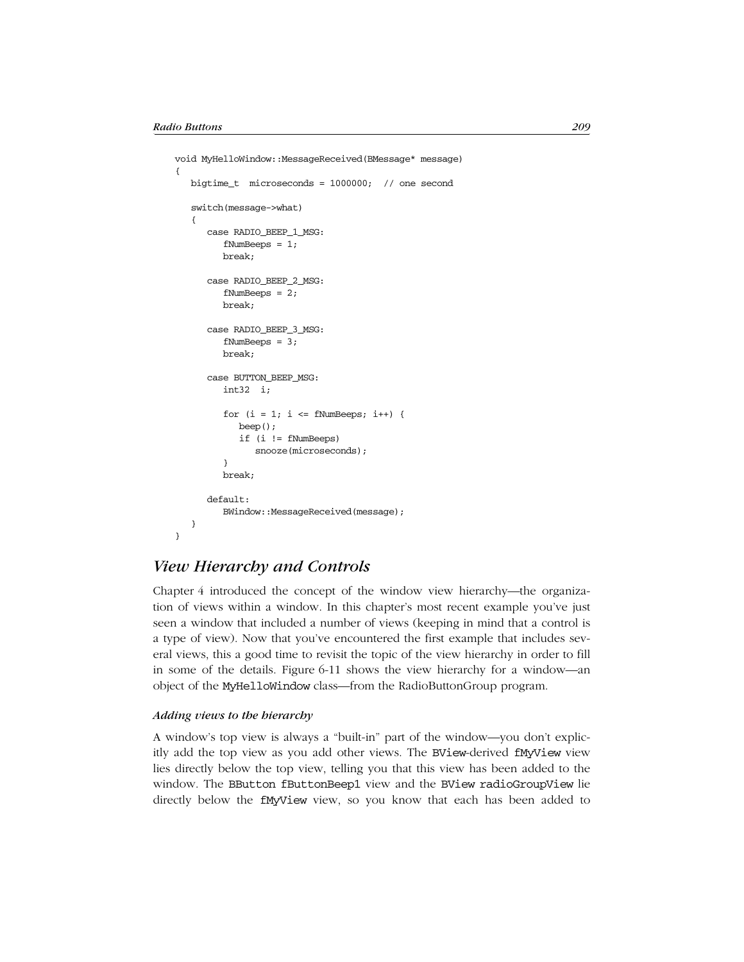```
void MyHelloWindow::MessageReceived(BMessage* message)
{
   bigtime_t microseconds = 1000000; // one second
    switch(message->what)
    {
       case RADIO_BEEP_1_MSG:
         fNumber = 1; break;
      case RADIO BEEP 2 MSG:
          fNumBeeps = 2;
          break;
       case RADIO_BEEP_3_MSG:
          fNumBeeps = 3;
          break;
       case BUTTON_BEEP_MSG:
          int32 i;
         for (i = 1; i \leq fNumber [NumBeeps; i++) {
            been():
             if (i != fNumBeeps)
                snooze(microseconds);
 }
          break;
       default:
          BWindow::MessageReceived(message);
    }
}
```
### *View Hierarchy and Controls*

Chapter 4 introduced the concept of the window view hierarchy—the organization of views within a window. In this chapter's most recent example you've just seen a window that included a number of views (keeping in mind that a control is a type of view). Now that you've encountered the first example that includes several views, this a good time to revisit the topic of the view hierarchy in order to fill in some of the details. Figure 6-11 shows the view hierarchy for a window—an object of the MyHelloWindow class—from the RadioButtonGroup program.

### *Adding views to the hierarchy*

A window's top view is always a "built-in" part of the window—you don't explicitly add the top view as you add other views. The BView-derived fMyView view lies directly below the top view, telling you that this view has been added to the window. The BButton fButtonBeep1 view and the BView radioGroupView lie directly below the fMyView view, so you know that each has been added to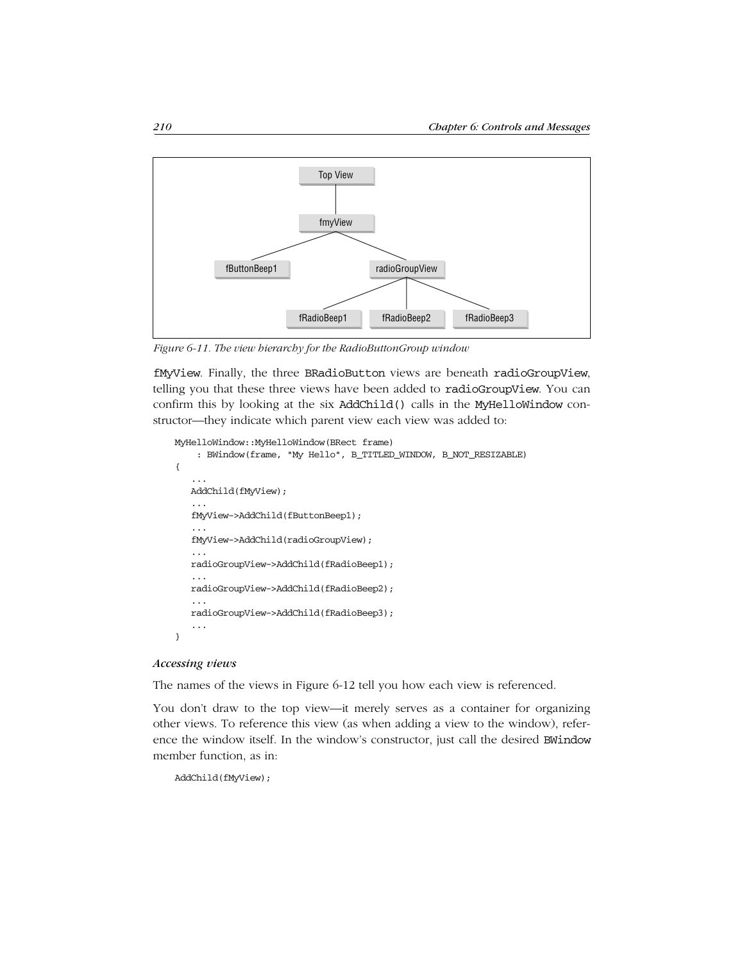

*Figure 6-11. The view hierarchy for the RadioButtonGroup window*

fMyView. Finally, the three BRadioButton views are beneath radioGroupView, telling you that these three views have been added to radioGroupView. You can confirm this by looking at the six AddChild() calls in the MyHelloWindow constructor—they indicate which parent view each view was added to:

```
MyHelloWindow::MyHelloWindow(BRect frame)
     : BWindow(frame, "My Hello", B_TITLED_WINDOW, B_NOT_RESIZABLE)
{
    ...
    AddChild(fMyView);
    ...
    fMyView->AddChild(fButtonBeep1);
 ...
    fMyView->AddChild(radioGroupView);
    ...
    radioGroupView->AddChild(fRadioBeep1);
 ...
    radioGroupView->AddChild(fRadioBeep2);
 ...
    radioGroupView->AddChild(fRadioBeep3);
    ...
}
```
### *Accessing views*

The names of the views in Figure 6-12 tell you how each view is referenced.

You don't draw to the top view—it merely serves as a container for organizing other views. To reference this view (as when adding a view to the window), reference the window itself. In the window's constructor, just call the desired BWindow member function, as in:

AddChild(fMyView);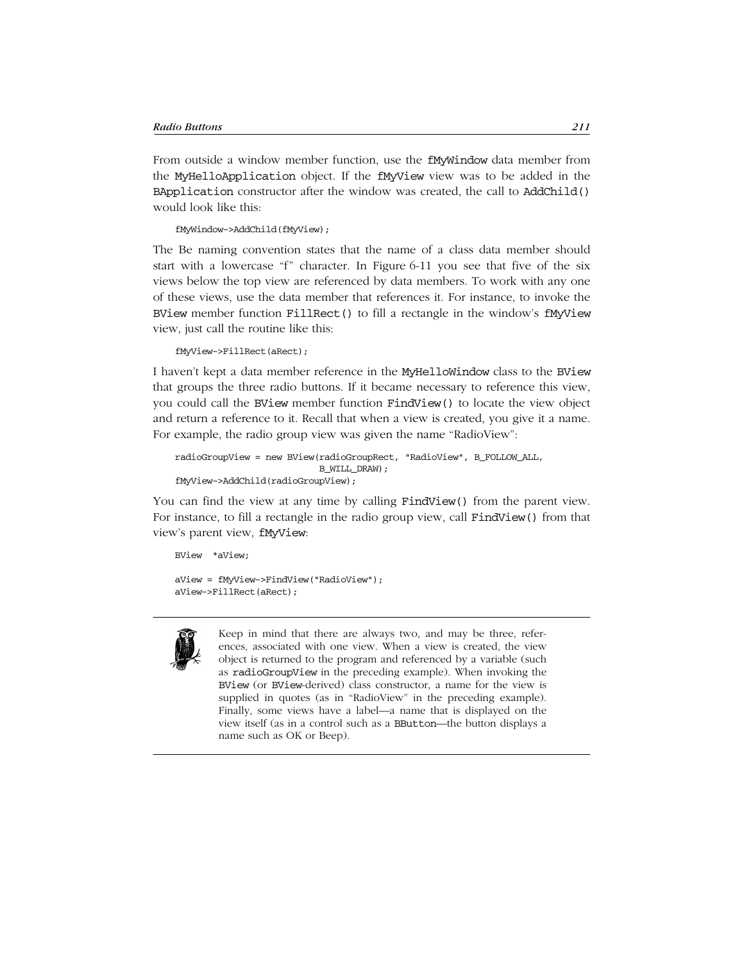From outside a window member function, use the **fMyWindow** data member from the MyHelloApplication object. If the fMyView view was to be added in the BApplication constructor after the window was created, the call to AddChild() would look like this:

fMyWindow->AddChild(fMyView);

The Be naming convention states that the name of a class data member should start with a lowercase "f" character. In Figure 6-11 you see that five of the six views below the top view are referenced by data members. To work with any one of these views, use the data member that references it. For instance, to invoke the BView member function FillRect() to fill a rectangle in the window's fMyView view, just call the routine like this:

fMyView->FillRect(aRect);

I haven't kept a data member reference in the MyHelloWindow class to the BView that groups the three radio buttons. If it became necessary to reference this view, you could call the BView member function FindView() to locate the view object and return a reference to it. Recall that when a view is created, you give it a name. For example, the radio group view was given the name "RadioView":

```
radioGroupView = new BView(radioGroupRect, "RadioView", B_FOLLOW_ALL,
                            B_WILL_DRAW);
fMyView->AddChild(radioGroupView);
```
You can find the view at any time by calling FindView() from the parent view. For instance, to fill a rectangle in the radio group view, call FindView() from that view's parent view, fMyView:

```
BView *aView;
aView = fMyView->FindView("RadioView");
aView->FillRect(aRect);
```


Keep in mind that there are always two, and may be three, references, associated with one view. When a view is created, the view object is returned to the program and referenced by a variable (such as radioGroupView in the preceding example). When invoking the BView (or BView-derived) class constructor, a name for the view is supplied in quotes (as in "RadioView" in the preceding example). Finally, some views have a label—a name that is displayed on the view itself (as in a control such as a BButton—the button displays a name such as OK or Beep).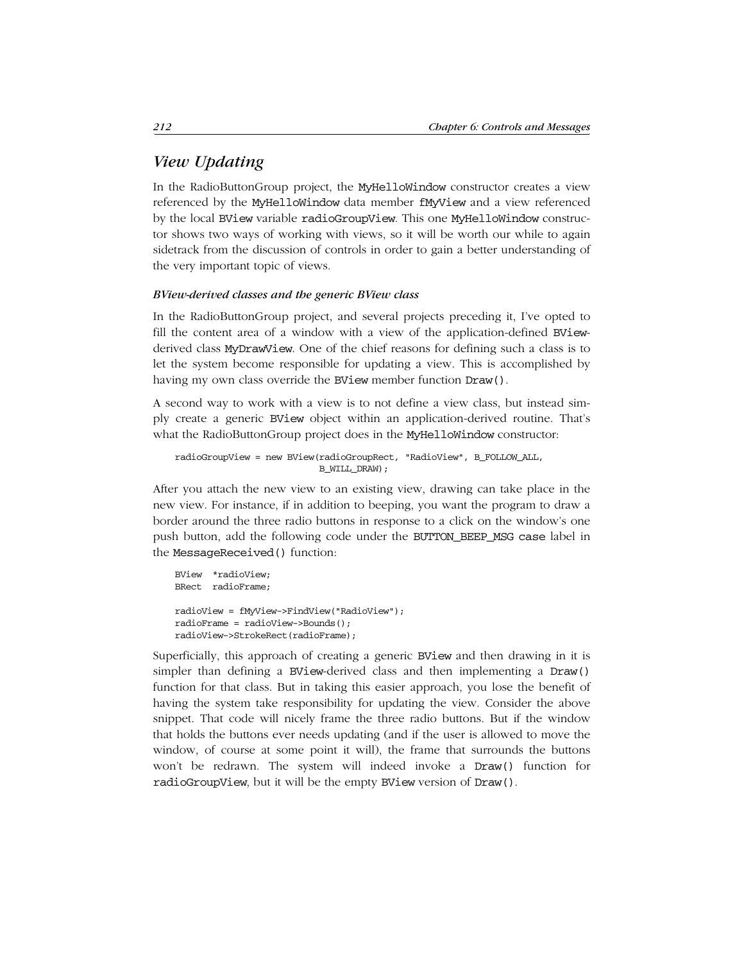# *View Updating*

In the RadioButtonGroup project, the MyHelloWindow constructor creates a view referenced by the MyHelloWindow data member fMyView and a view referenced by the local BView variable radioGroupView. This one MyHelloWindow constructor shows two ways of working with views, so it will be worth our while to again sidetrack from the discussion of controls in order to gain a better understanding of the very important topic of views.

### *BView-derived classes and the generic BView class*

In the RadioButtonGroup project, and several projects preceding it, I've opted to fill the content area of a window with a view of the application-defined BViewderived class MyDrawView. One of the chief reasons for defining such a class is to let the system become responsible for updating a view. This is accomplished by having my own class override the BView member function Draw().

A second way to work with a view is to not define a view class, but instead simply create a generic BView object within an application-derived routine. That's what the RadioButtonGroup project does in the MyHelloWindow constructor:

```
radioGroupView = new BView(radioGroupRect, "RadioView", B_FOLLOW_ALL,
                            B_WILL_DRAW);
```
After you attach the new view to an existing view, drawing can take place in the new view. For instance, if in addition to beeping, you want the program to draw a border around the three radio buttons in response to a click on the window's one push button, add the following code under the BUTTON\_BEEP\_MSG case label in the MessageReceived() function:

```
BView *radioView;
BRect radioFrame;
radioView = fMyView->FindView("RadioView");
radioFrame = radioView->Bounds();
radioView->StrokeRect(radioFrame);
```
Superficially, this approach of creating a generic BView and then drawing in it is simpler than defining a BView-derived class and then implementing a Draw() function for that class. But in taking this easier approach, you lose the benefit of having the system take responsibility for updating the view. Consider the above snippet. That code will nicely frame the three radio buttons. But if the window that holds the buttons ever needs updating (and if the user is allowed to move the window, of course at some point it will), the frame that surrounds the buttons won't be redrawn. The system will indeed invoke a Draw() function for radioGroupView, but it will be the empty BView version of Draw().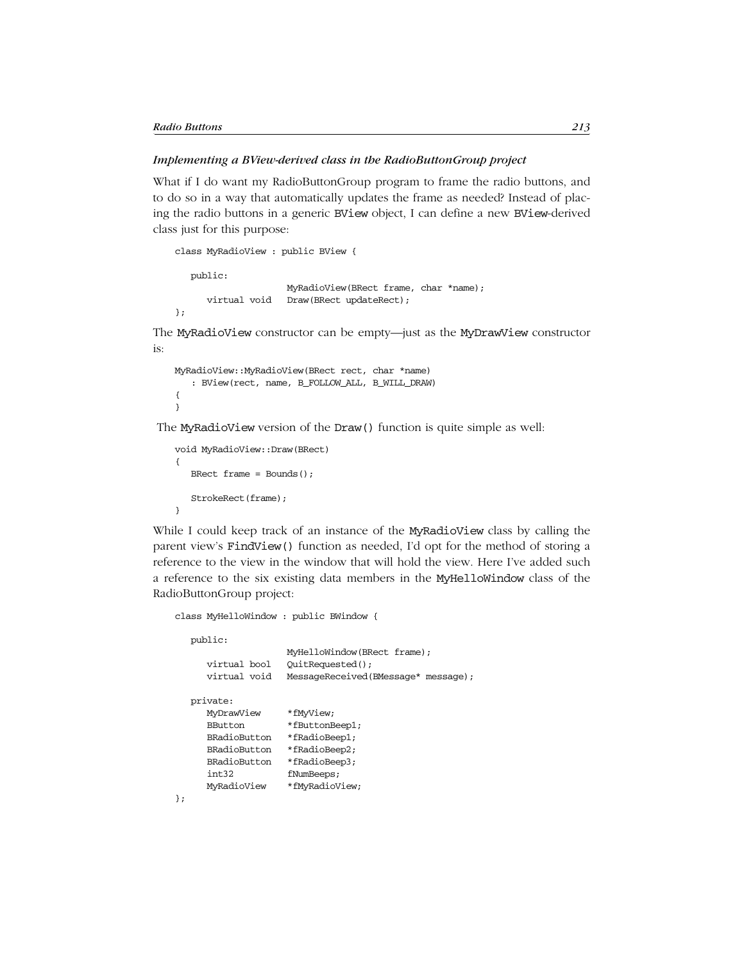### *Implementing a BView-derived class in the RadioButtonGroup project*

What if I do want my RadioButtonGroup program to frame the radio buttons, and to do so in a way that automatically updates the frame as needed? Instead of placing the radio buttons in a generic BView object, I can define a new BView-derived class just for this purpose:

```
class MyRadioView : public BView {
    public:
                      MyRadioView(BRect frame, char *name);
      virtual void Draw(BRect updateRect);
};
```
The MyRadioView constructor can be empty—just as the MyDrawView constructor is:

```
MyRadioView::MyRadioView(BRect rect, char *name)
    : BView(rect, name, B_FOLLOW_ALL, B_WILL_DRAW)
{
}
```
The MyRadioView version of the Draw() function is quite simple as well:

```
void MyRadioView::Draw(BRect)
{
   BRect frame = Bounds();
    StrokeRect(frame);
}
```
While I could keep track of an instance of the MyRadioView class by calling the parent view's FindView() function as needed, I'd opt for the method of storing a reference to the view in the window that will hold the view. Here I've added such a reference to the six existing data members in the MyHelloWindow class of the RadioButtonGroup project:

```
class MyHelloWindow : public BWindow {
   public:
                    MyHelloWindow(BRect frame);
     virtual bool  QuitRequested();
      virtual void MessageReceived(BMessage* message);
   private:
      MyDrawView *fMyView;
     BButton *fButtonBeep1;
      BRadioButton *fRadioBeep1;
      BRadioButton *fRadioBeep2;
     BRadioButton *fRadioBeep3;
      int32 fNumBeeps;
      MyRadioView *fMyRadioView;
};
```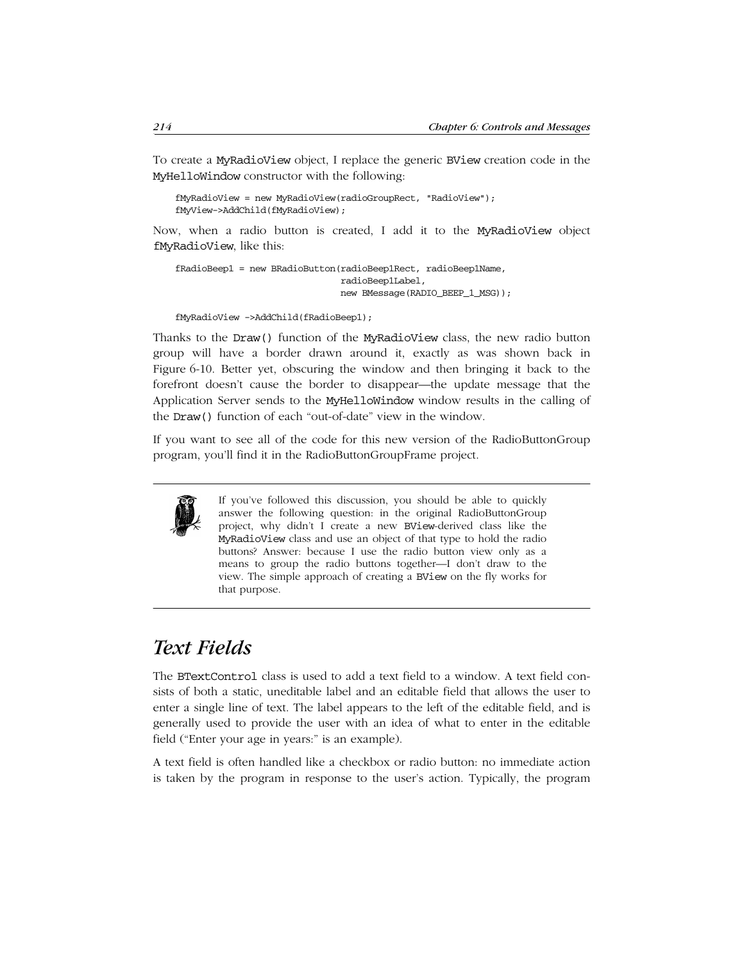To create a MyRadioView object, I replace the generic BView creation code in the MyHelloWindow constructor with the following:

```
fMyRadioView = new MyRadioView(radioGroupRect, "RadioView");
fMyView->AddChild(fMyRadioView);
```
Now, when a radio button is created, I add it to the MyRadioView object fMyRadioView, like this:

```
fRadioBeep1 = new BRadioButton(radioBeep1Rect, radioBeep1Name,
                                radioBeep1Label,
                                new BMessage(RADIO_BEEP_1_MSG));
```
fMyRadioView ->AddChild(fRadioBeep1);

Thanks to the Draw() function of the MyRadioView class, the new radio button group will have a border drawn around it, exactly as was shown back in Figure 6-10. Better yet, obscuring the window and then bringing it back to the forefront doesn't cause the border to disappear—the update message that the Application Server sends to the MyHelloWindow window results in the calling of the Draw() function of each "out-of-date" view in the window.

If you want to see all of the code for this new version of the RadioButtonGroup program, you'll find it in the RadioButtonGroupFrame project.



If you've followed this discussion, you should be able to quickly answer the following question: in the original RadioButtonGroup project, why didn't I create a new BView-derived class like the MyRadioView class and use an object of that type to hold the radio buttons? Answer: because I use the radio button view only as a means to group the radio buttons together—I don't draw to the view. The simple approach of creating a BView on the fly works for that purpose.

# *Text Fields*

The BTextControl class is used to add a text field to a window. A text field consists of both a static, uneditable label and an editable field that allows the user to enter a single line of text. The label appears to the left of the editable field, and is generally used to provide the user with an idea of what to enter in the editable field ("Enter your age in years:" is an example).

A text field is often handled like a checkbox or radio button: no immediate action is taken by the program in response to the user's action. Typically, the program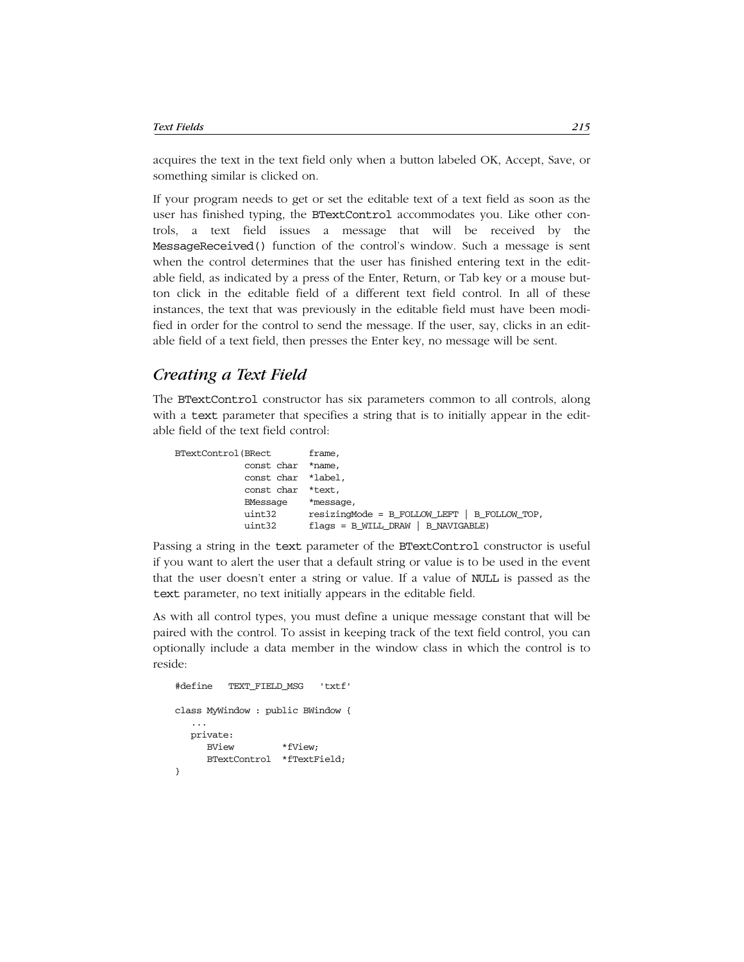acquires the text in the text field only when a button labeled OK, Accept, Save, or something similar is clicked on.

If your program needs to get or set the editable text of a text field as soon as the user has finished typing, the BTextControl accommodates you. Like other controls, a text field issues a message that will be received by the MessageReceived() function of the control's window. Such a message is sent when the control determines that the user has finished entering text in the editable field, as indicated by a press of the Enter, Return, or Tab key or a mouse button click in the editable field of a different text field control. In all of these instances, the text that was previously in the editable field must have been modified in order for the control to send the message. If the user, say, clicks in an editable field of a text field, then presses the Enter key, no message will be sent.

### *Creating a Text Field*

The BTextControl constructor has six parameters common to all controls, along with a text parameter that specifies a string that is to initially appear in the editable field of the text field control:

```
BTextControl(BRect frame,
            const char *name,
            const char *label,
            const char *text,
             BMessage *message,
            uint32 resizingMode = B_FOLLOW_LEFT | B_FOLLOW_TOP,
             uint32 flags = B_WILL_DRAW | B_NAVIGABLE)
```
Passing a string in the text parameter of the BTextControl constructor is useful if you want to alert the user that a default string or value is to be used in the event that the user doesn't enter a string or value. If a value of NULL is passed as the text parameter, no text initially appears in the editable field.

As with all control types, you must define a unique message constant that will be paired with the control. To assist in keeping track of the text field control, you can optionally include a data member in the window class in which the control is to reside:

```
#define TEXT_FIELD_MSG 'txtf'
class MyWindow : public BWindow {
   ...
   private:
      BView *fView;
      BTextControl *fTextField;
}
```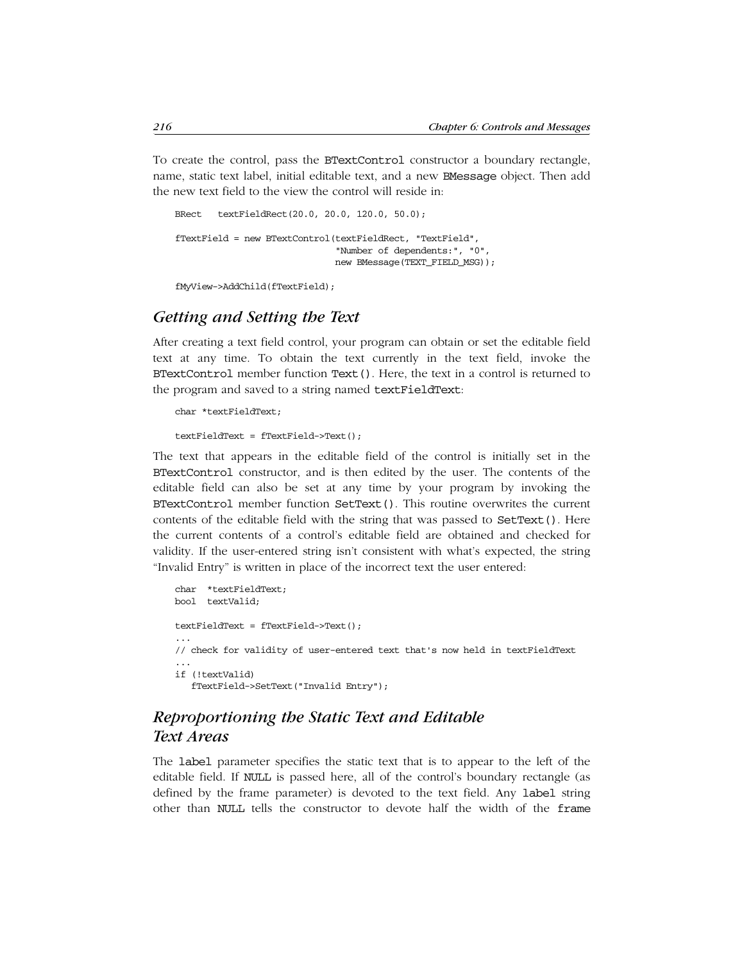To create the control, pass the BTextControl constructor a boundary rectangle, name, static text label, initial editable text, and a new BMessage object. Then add the new text field to the view the control will reside in:

```
BRect textFieldRect(20.0, 20.0, 120.0, 50.0);
fTextField = new BTextControl(textFieldRect, "TextField",
                               "Number of dependents:", "0",
                               new BMessage(TEXT_FIELD_MSG));
```

```
fMyView->AddChild(fTextField);
```
# *Getting and Setting the Text*

After creating a text field control, your program can obtain or set the editable field text at any time. To obtain the text currently in the text field, invoke the BTextControl member function Text(). Here, the text in a control is returned to the program and saved to a string named textFieldText:

char \*textFieldText;

```
textFieldText = fTextField->Text();
```
The text that appears in the editable field of the control is initially set in the BTextControl constructor, and is then edited by the user. The contents of the editable field can also be set at any time by your program by invoking the BTextControl member function SetText(). This routine overwrites the current contents of the editable field with the string that was passed to SetText(). Here the current contents of a control's editable field are obtained and checked for validity. If the user-entered string isn't consistent with what's expected, the string "Invalid Entry" is written in place of the incorrect text the user entered:

```
char *textFieldText;
bool textValid;
textFieldText = fTextField->Text();
...
// check for validity of user-entered text that's now held in textFieldText
...
if (!textValid)
    fTextField->SetText("Invalid Entry");
```
# *Reproportioning the Static Text and Editable Text Areas*

The label parameter specifies the static text that is to appear to the left of the editable field. If NULL is passed here, all of the control's boundary rectangle (as defined by the frame parameter) is devoted to the text field. Any label string other than NULL tells the constructor to devote half the width of the frame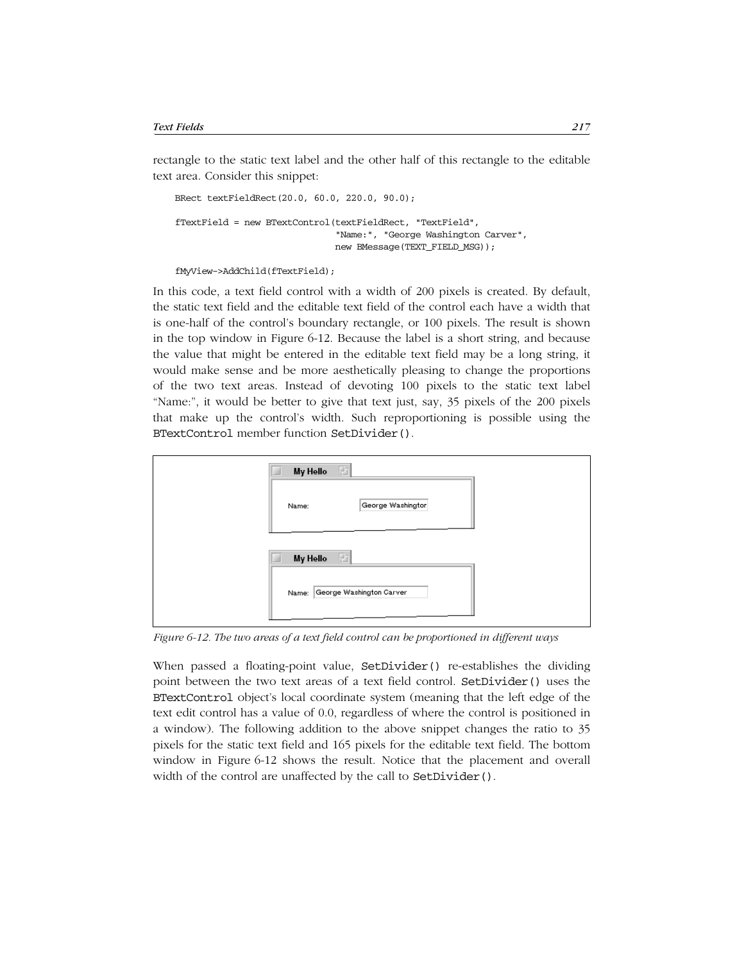rectangle to the static text label and the other half of this rectangle to the editable text area. Consider this snippet:

```
BRect textFieldRect(20.0, 60.0, 220.0, 90.0);
fTextField = new BTextControl(textFieldRect, "TextField",
                               "Name:", "George Washington Carver",
                               new BMessage(TEXT_FIELD_MSG));
```

```
fMyView->AddChild(fTextField);
```
In this code, a text field control with a width of 200 pixels is created. By default, the static text field and the editable text field of the control each have a width that is one-half of the control's boundary rectangle, or 100 pixels. The result is shown in the top window in Figure 6-12. Because the label is a short string, and because the value that might be entered in the editable text field may be a long string, it would make sense and be more aesthetically pleasing to change the proportions of the two text areas. Instead of devoting 100 pixels to the static text label "Name:", it would be better to give that text just, say, 35 pixels of the 200 pixels that make up the control's width. Such reproportioning is possible using the BTextControl member function SetDivider().

|                 | 唒<br>My Hello                  |
|-----------------|--------------------------------|
| Name:           | George Washingtor              |
| <b>My Hello</b> | 唒                              |
|                 | Name: George Washington Carver |

*Figure 6-12. The two areas of a text field control can be proportioned in different ways*

When passed a floating-point value, SetDivider() re-establishes the dividing point between the two text areas of a text field control. SetDivider() uses the BTextControl object's local coordinate system (meaning that the left edge of the text edit control has a value of 0.0, regardless of where the control is positioned in a window). The following addition to the above snippet changes the ratio to 35 pixels for the static text field and 165 pixels for the editable text field. The bottom window in Figure 6-12 shows the result. Notice that the placement and overall width of the control are unaffected by the call to SetDivider().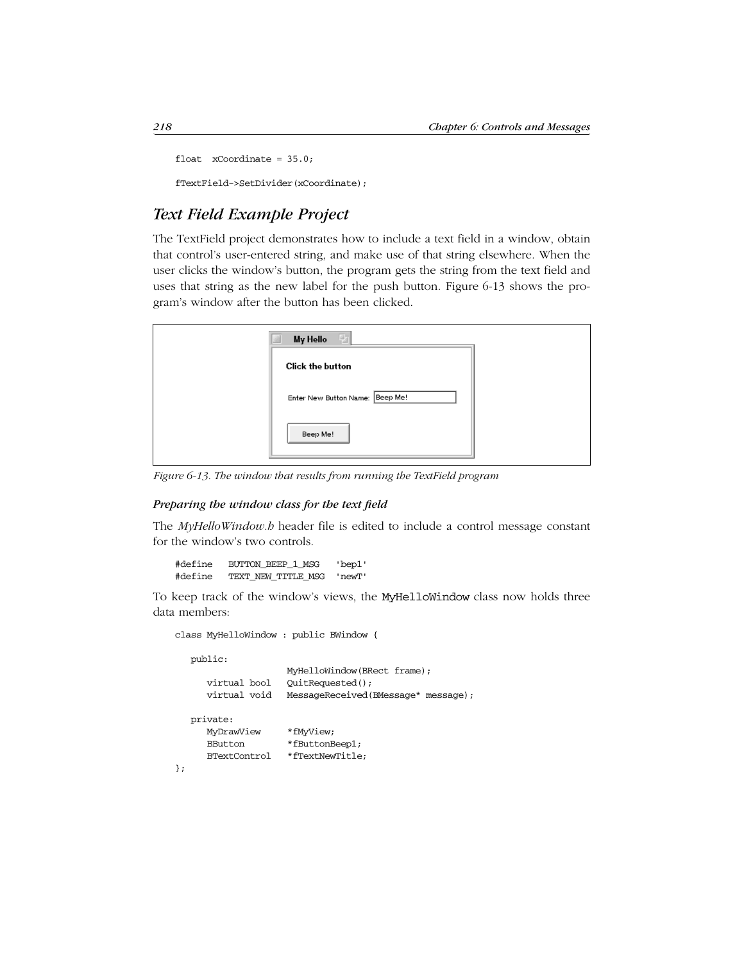float xCoordinate = 35.0;

fTextField->SetDivider(xCoordinate);

# *Text Field Example Project*

The TextField project demonstrates how to include a text field in a window, obtain that control's user-entered string, and make use of that string elsewhere. When the user clicks the window's button, the program gets the string from the text field and uses that string as the new label for the push button. Figure 6-13 shows the program's window after the button has been clicked.

| 面<br>My Hello                    |  |
|----------------------------------|--|
| Click the button                 |  |
| Enter New Button Name:  Beep Me! |  |
| Beep Me!                         |  |

*Figure 6-13. The window that results from running the TextField program*

### *Preparing the window class for the text field*

The *MyHelloWindow.h* header file is edited to include a control message constant for the window's two controls.

#define BUTTON\_BEEP\_1\_MSG 'bep1' #define TEXT\_NEW\_TITLE\_MSG 'newT'

To keep track of the window's views, the MyHelloWindow class now holds three data members:

class MyHelloWindow : public BWindow { public: MyHelloWindow(BRect frame); virtual bool QuitRequested(); virtual void MessageReceived(BMessage\* message); private: MyDrawView \*fMyView; BButton \*fButtonBeep1; BTextControl \*fTextNewTitle; };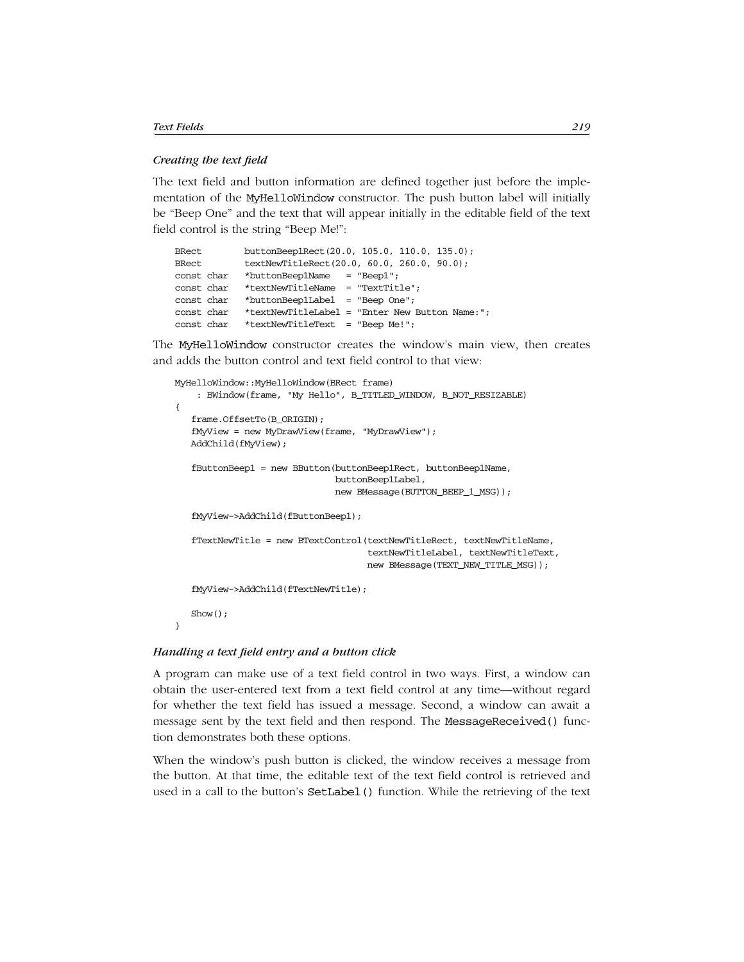### *Creating the text field*

The text field and button information are defined together just before the implementation of the MyHelloWindow constructor. The push button label will initially be "Beep One" and the text that will appear initially in the editable field of the text field control is the string "Beep Me!":

| BRect      | buttonBeep1Rect(20.0, 105.0, 110.0, 135.0);    |  |  |
|------------|------------------------------------------------|--|--|
| BRect      | textNewTitleRect(20.0, 60.0, 260.0, 90.0);     |  |  |
| const char | $*$ buttonBeep1Name = "Beep1";                 |  |  |
| const char | *textNewTitleName = "TextTitle";               |  |  |
| const char | $*buttonBeep1Label = "Beep One";$              |  |  |
| const char | *textNewTitleLabel = "Enter New Button Name:"; |  |  |
| const char | *textNewTitleText = "Beep Me!";                |  |  |

The MyHelloWindow constructor creates the window's main view, then creates and adds the button control and text field control to that view:

```
MyHelloWindow::MyHelloWindow(BRect frame)
     : BWindow(frame, "My Hello", B_TITLED_WINDOW, B_NOT_RESIZABLE)
{
    frame.OffsetTo(B_ORIGIN);
    fMyView = new MyDrawView(frame, "MyDrawView");
    AddChild(fMyView);
    fButtonBeep1 = new BButton(buttonBeep1Rect, buttonBeep1Name,
                                buttonBeep1Label,
                                new BMessage(BUTTON_BEEP_1_MSG));
    fMyView->AddChild(fButtonBeep1);
    fTextNewTitle = new BTextControl(textNewTitleRect, textNewTitleName,
                                      textNewTitleLabel, textNewTitleText,
                                     new BMessage(TEXT_NEW_TITLE_MSG));
    fMyView->AddChild(fTextNewTitle);
   Show();
}
```
### *Handling a text field entry and a button click*

A program can make use of a text field control in two ways. First, a window can obtain the user-entered text from a text field control at any time—without regard for whether the text field has issued a message. Second, a window can await a message sent by the text field and then respond. The MessageReceived() function demonstrates both these options.

When the window's push button is clicked, the window receives a message from the button. At that time, the editable text of the text field control is retrieved and used in a call to the button's SetLabel() function. While the retrieving of the text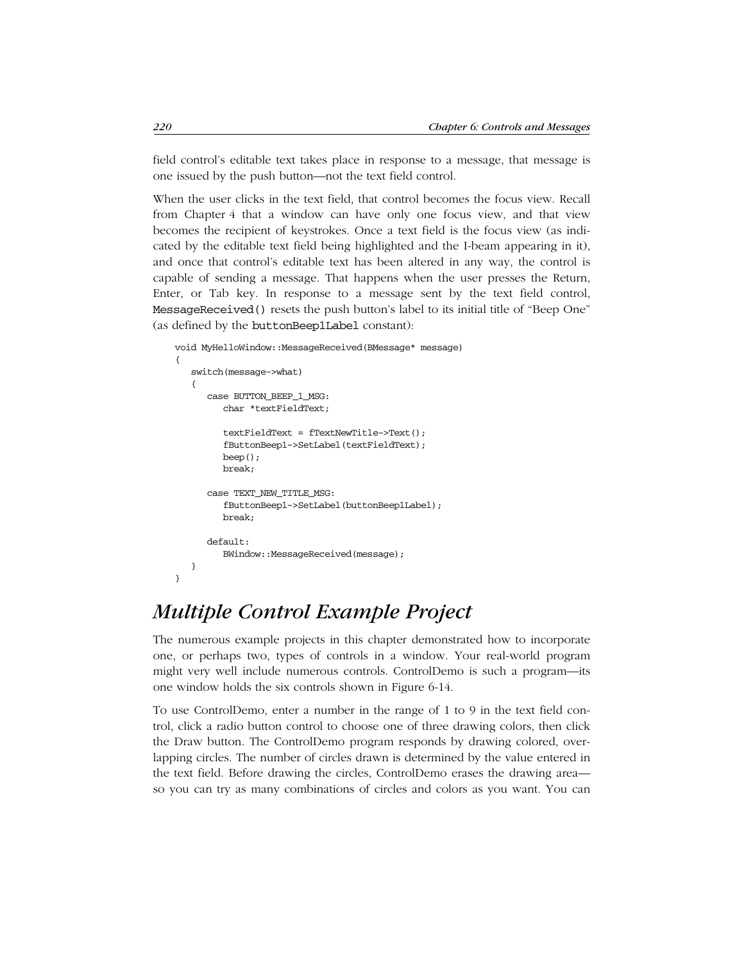field control's editable text takes place in response to a message, that message is one issued by the push button—not the text field control.

When the user clicks in the text field, that control becomes the focus view. Recall from Chapter 4 that a window can have only one focus view, and that view becomes the recipient of keystrokes. Once a text field is the focus view (as indicated by the editable text field being highlighted and the I-beam appearing in it), and once that control's editable text has been altered in any way, the control is capable of sending a message. That happens when the user presses the Return, Enter, or Tab key. In response to a message sent by the text field control, MessageReceived() resets the push button's label to its initial title of "Beep One" (as defined by the buttonBeep1Label constant):

```
void MyHelloWindow::MessageReceived(BMessage* message)
{
    switch(message->what)
    {
       case BUTTON_BEEP_1_MSG:
          char *textFieldText;
          textFieldText = fTextNewTitle->Text();
          fButtonBeep1->SetLabel(textFieldText);
          beep();
          break;
       case TEXT_NEW_TITLE_MSG:
          fButtonBeep1->SetLabel(buttonBeep1Label);
          break;
       default:
          BWindow::MessageReceived(message);
    }
}
```
# *Multiple Control Example Project*

The numerous example projects in this chapter demonstrated how to incorporate one, or perhaps two, types of controls in a window. Your real-world program might very well include numerous controls. ControlDemo is such a program—its one window holds the six controls shown in Figure 6-14.

To use ControlDemo, enter a number in the range of 1 to 9 in the text field control, click a radio button control to choose one of three drawing colors, then click the Draw button. The ControlDemo program responds by drawing colored, overlapping circles. The number of circles drawn is determined by the value entered in the text field. Before drawing the circles, ControlDemo erases the drawing area so you can try as many combinations of circles and colors as you want. You can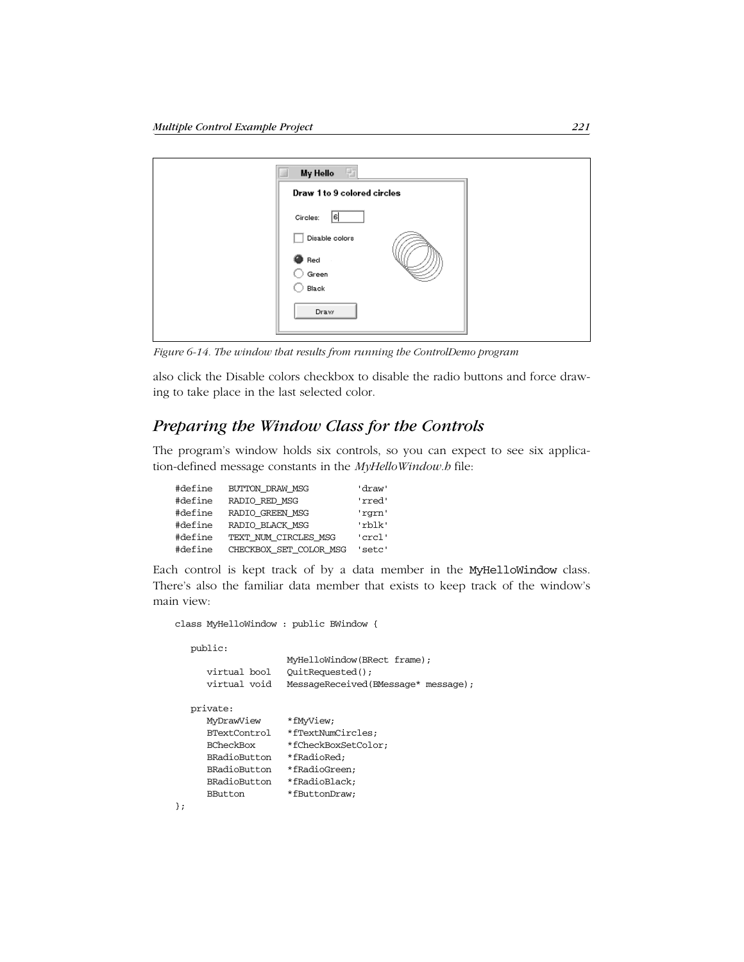

*Figure 6-14. The window that results from running the ControlDemo program*

also click the Disable colors checkbox to disable the radio buttons and force drawing to take place in the last selected color.

# *Preparing the Window Class for the Controls*

The program's window holds six controls, so you can expect to see six application-defined message constants in the *MyHelloWindow.h* file:

| #define | BUTTON DRAW MSG        | 'draw' |
|---------|------------------------|--------|
| #define | RADIO RED MSG          | 'rred' |
| #define | RADIO GREEN MSG        | 'rgrn' |
| #define | RADIO BLACK MSG        | 'rblk' |
| #define | TEXT NUM CIRCLES MSG   | 'crcl' |
| #define | CHECKBOX SET COLOR MSG | 'setc' |

Each control is kept track of by a data member in the MyHelloWindow class. There's also the familiar data member that exists to keep track of the window's main view:

class MyHelloWindow : public BWindow { public: MyHelloWindow(BRect frame); virtual bool QuitRequested(); virtual void MessageReceived(BMessage\* message); private: MyDrawView \*fMyView; BTextControl \*fTextNumCircles; BCheckBox \*fCheckBoxSetColor; BRadioButton \*fRadioRed; BRadioButton \*fRadioGreen; BRadioButton \*fRadioBlack; BButton \*fButtonDraw; };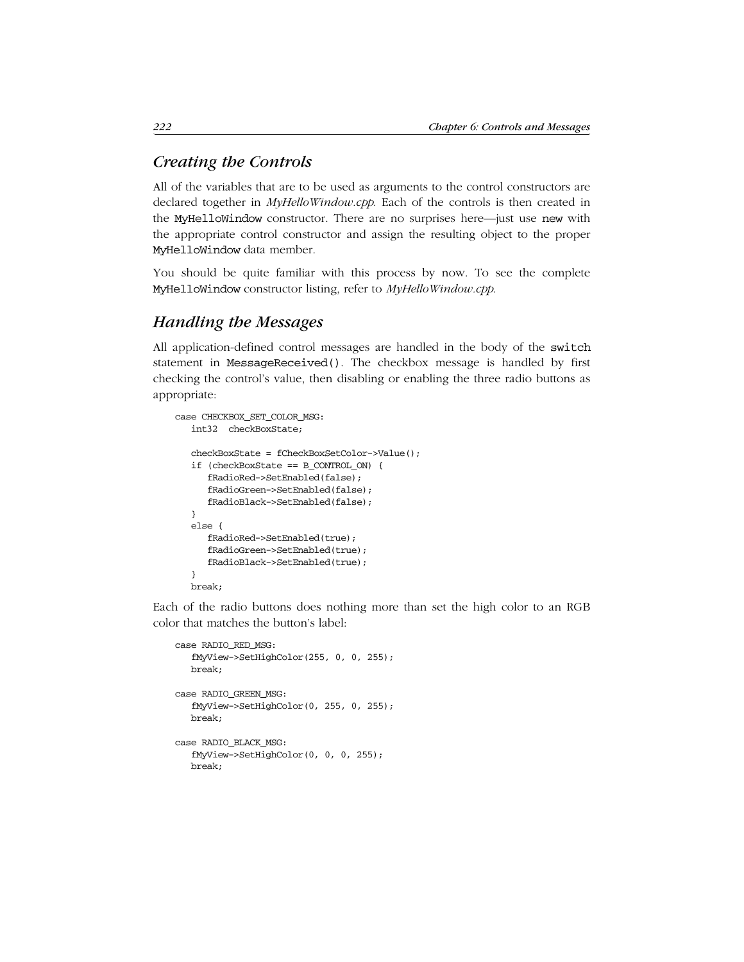# *Creating the Controls*

All of the variables that are to be used as arguments to the control constructors are declared together in *MyHelloWindow.cpp*. Each of the controls is then created in the MyHelloWindow constructor. There are no surprises here—just use new with the appropriate control constructor and assign the resulting object to the proper MyHelloWindow data member.

You should be quite familiar with this process by now. To see the complete MyHelloWindow constructor listing, refer to *MyHelloWindow.cpp*.

# *Handling the Messages*

All application-defined control messages are handled in the body of the switch statement in MessageReceived(). The checkbox message is handled by first checking the control's value, then disabling or enabling the three radio buttons as appropriate:

```
case CHECKBOX_SET_COLOR_MSG:
    int32 checkBoxState;
    checkBoxState = fCheckBoxSetColor->Value();
    if (checkBoxState == B_CONTROL_ON) {
       fRadioRed->SetEnabled(false);
       fRadioGreen->SetEnabled(false);
       fRadioBlack->SetEnabled(false);
    }
    else {
       fRadioRed->SetEnabled(true);
       fRadioGreen->SetEnabled(true);
       fRadioBlack->SetEnabled(true);
    }
    break;
```
Each of the radio buttons does nothing more than set the high color to an RGB color that matches the button's label:

```
case RADIO_RED_MSG:
    fMyView->SetHighColor(255, 0, 0, 255);
   break;
case RADIO_GREEN_MSG:
    fMyView->SetHighColor(0, 255, 0, 255);
    break;
case RADIO_BLACK_MSG:
    fMyView->SetHighColor(0, 0, 0, 255);
    break;
```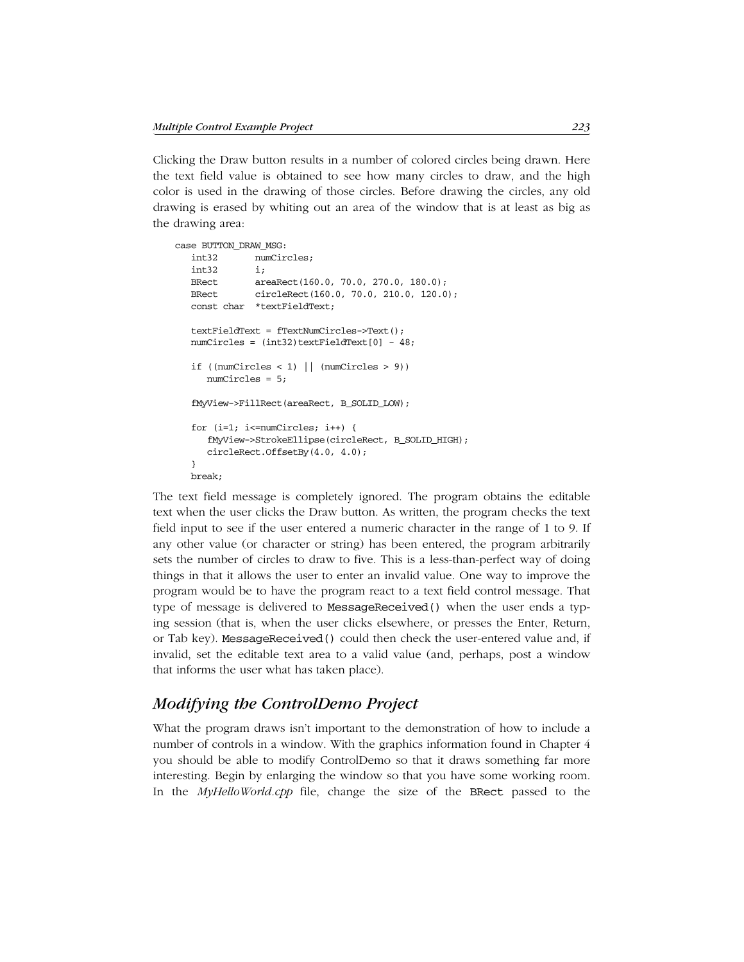Clicking the Draw button results in a number of colored circles being drawn. Here the text field value is obtained to see how many circles to draw, and the high color is used in the drawing of those circles. Before drawing the circles, any old drawing is erased by whiting out an area of the window that is at least as big as the drawing area:

```
case BUTTON_DRAW_MSG:
    int32 numCircles;
    int32 i;
    BRect areaRect(160.0, 70.0, 270.0, 180.0);
   BRect circleRect(160.0, 70.0, 210.0, 120.0);
    const char *textFieldText;
    textFieldText = fTextNumCircles->Text();
  numCircles = (int32) textFieldText[0] - 48;if (\text{numCircles} < 1) || (\text{numCircles} > 9)) numCircles = 5;
    fMyView->FillRect(areaRect, B_SOLID_LOW);
    for (i=1; i<=numCircles; i++) {
       fMyView->StrokeEllipse(circleRect, B_SOLID_HIGH);
       circleRect.OffsetBy(4.0, 4.0);
    }
   break;
```
The text field message is completely ignored. The program obtains the editable text when the user clicks the Draw button. As written, the program checks the text field input to see if the user entered a numeric character in the range of 1 to 9. If any other value (or character or string) has been entered, the program arbitrarily sets the number of circles to draw to five. This is a less-than-perfect way of doing things in that it allows the user to enter an invalid value. One way to improve the program would be to have the program react to a text field control message. That type of message is delivered to MessageReceived() when the user ends a typing session (that is, when the user clicks elsewhere, or presses the Enter, Return, or Tab key). MessageReceived() could then check the user-entered value and, if invalid, set the editable text area to a valid value (and, perhaps, post a window that informs the user what has taken place).

# *Modifying the ControlDemo Project*

What the program draws isn't important to the demonstration of how to include a number of controls in a window. With the graphics information found in Chapter 4 you should be able to modify ControlDemo so that it draws something far more interesting. Begin by enlarging the window so that you have some working room. In the *MyHelloWorld.cpp* file, change the size of the BRect passed to the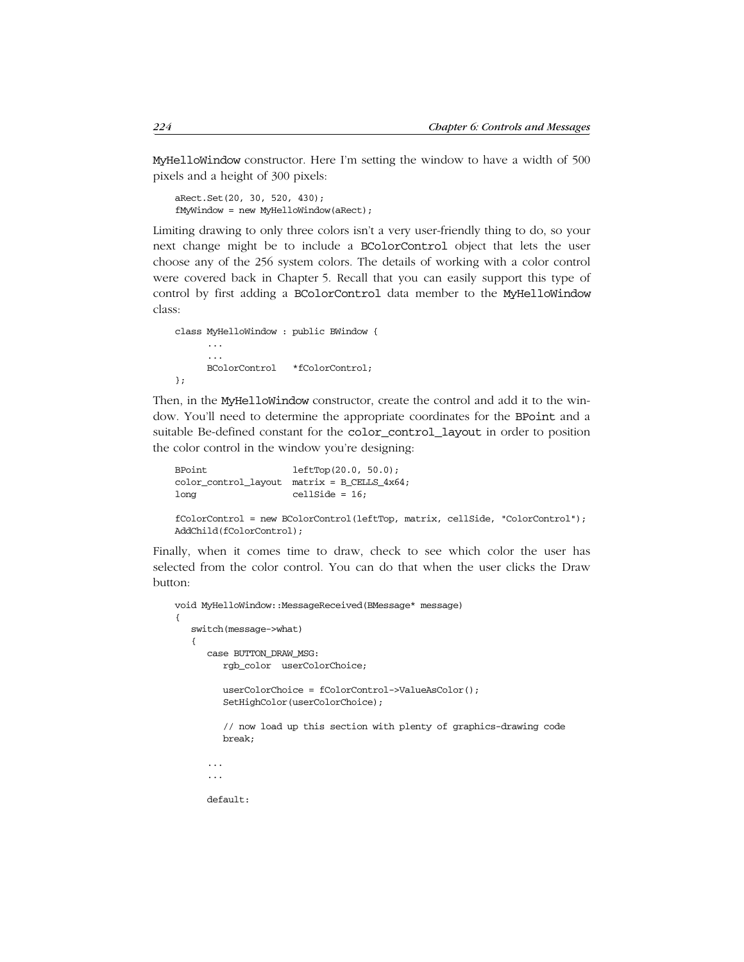MyHelloWindow constructor. Here I'm setting the window to have a width of 500 pixels and a height of 300 pixels:

```
aRect.Set(20, 30, 520, 430);
fMyWindow = new MyHelloWindow(aRect);
```
Limiting drawing to only three colors isn't a very user-friendly thing to do, so your next change might be to include a BColorControl object that lets the user choose any of the 256 system colors. The details of working with a color control were covered back in Chapter 5. Recall that you can easily support this type of control by first adding a BColorControl data member to the MyHelloWindow class:

```
class MyHelloWindow : public BWindow {
       ...
       ...
       BColorControl *fColorControl;
};
```
Then, in the MyHelloWindow constructor, create the control and add it to the window. You'll need to determine the appropriate coordinates for the BPoint and a suitable Be-defined constant for the color\_control\_layout in order to position the color control in the window you're designing:

```
BPoint leftTop(20.0, 50.0);
color_control_layout matrix = B_CELLS_4x64;
long cellside = 16;
fColorControl = new BColorControl(leftTop, matrix, cellSide, "ColorControl");
AddChild(fColorControl);
```
Finally, when it comes time to draw, check to see which color the user has selected from the color control. You can do that when the user clicks the Draw button:

```
void MyHelloWindow::MessageReceived(BMessage* message)
    switch(message->what)
    {
       case BUTTON_DRAW_MSG:
          rgb_color userColorChoice;
          userColorChoice = fColorControl->ValueAsColor();
          SetHighColor(userColorChoice);
          // now load up this section with plenty of graphics-drawing code
          break;
       ...
       ...
       default:
```
{